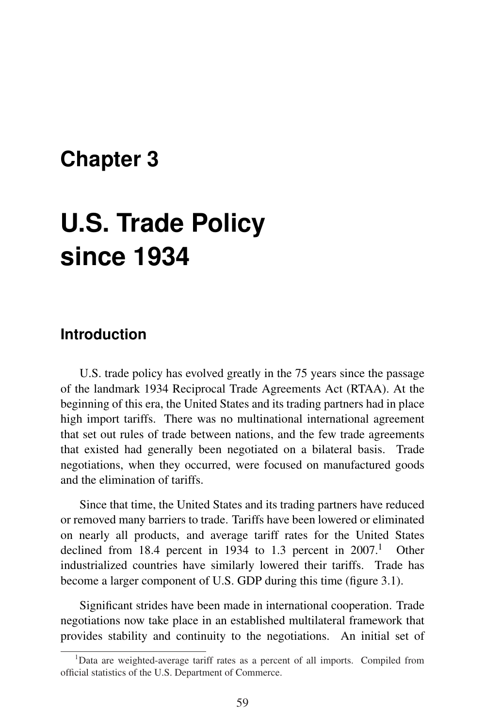## **Chapter 3**

# **U.S. Trade Policy since 1934**

## **Introduction**

U.S. trade policy has evolved greatly in the 75 years since the passage of the landmark 1934 Reciprocal Trade Agreements Act (RTAA). At the beginning of this era, the United States and its trading partners had in place high import tariffs. There was no multinational international agreement that set out rules of trade between nations, and the few trade agreements that existed had generally been negotiated on a bilateral basis. Trade negotiations, when they occurred, were focused on manufactured goods and the elimination of tariffs.

Since that time, the United States and its trading partners have reduced or removed many barriers to trade. Tariffs have been lowered or eliminated on nearly all products, and average tariff rates for the United States declined from 18.4 percent in 1934 to 1.3 percent in  $2007<sup>1</sup>$  Other industrialized countries have similarly lowered their tariffs. Trade has become a larger component of U.S. GDP during this time (figure 3.1).

Significant strides have been made in international cooperation. Trade negotiations now take place in an established multilateral framework that provides stability and continuity to the negotiations. An initial set of

<sup>&</sup>lt;sup>1</sup>Data are weighted-average tariff rates as a percent of all imports. Compiled from official statistics of the U.S. Department of Commerce.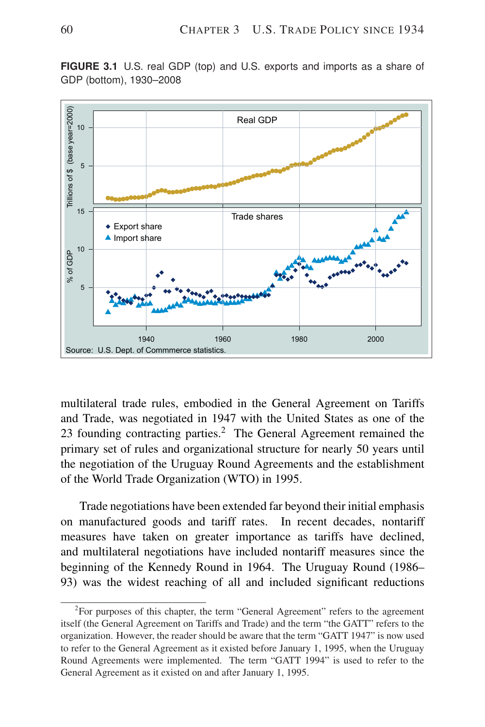

**FIGURE 3.1** U.S. real GDP (top) and U.S. exports and imports as a share of GDP (bottom), 1930–2008

multilateral trade rules, embodied in the General Agreement on Tariffs and Trade, was negotiated in 1947 with the United States as one of the 23 founding contracting parties.<sup>2</sup> The General Agreement remained the primary set of rules and organizational structure for nearly 50 years until the negotiation of the Uruguay Round Agreements and the establishment of the World Trade Organization (WTO) in 1995.

Trade negotiations have been extended far beyond their initial emphasis on manufactured goods and tariff rates. In recent decades, nontariff measures have taken on greater importance as tariffs have declined, and multilateral negotiations have included nontariff measures since the beginning of the Kennedy Round in 1964. The Uruguay Round (1986– 93) was the widest reaching of all and included significant reductions

 $2$ For purposes of this chapter, the term "General Agreement" refers to the agreement itself (the General Agreement on Tariffs and Trade) and the term "the GATT" refers to the organization. However, the reader should be aware that the term "GATT 1947" is now used to refer to the General Agreement as it existed before January 1, 1995, when the Uruguay Round Agreements were implemented. The term "GATT 1994" is used to refer to the General Agreement as it existed on and after January 1, 1995.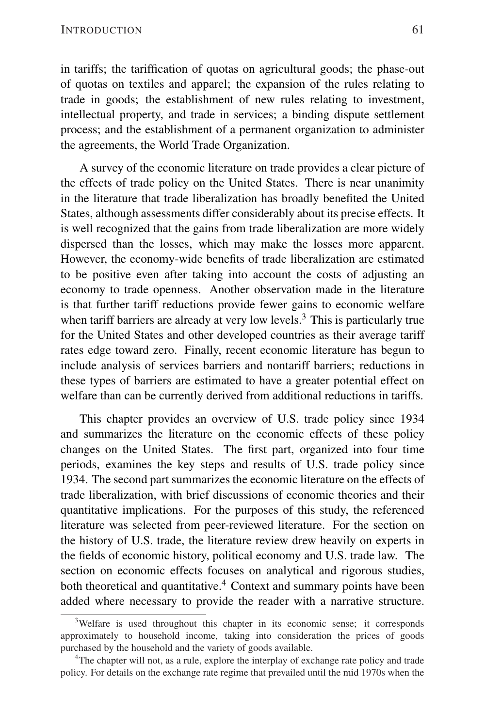in tariffs; the tariffication of quotas on agricultural goods; the phase-out of quotas on textiles and apparel; the expansion of the rules relating to trade in goods; the establishment of new rules relating to investment, intellectual property, and trade in services; a binding dispute settlement process; and the establishment of a permanent organization to administer the agreements, the World Trade Organization.

A survey of the economic literature on trade provides a clear picture of the effects of trade policy on the United States. There is near unanimity in the literature that trade liberalization has broadly benefited the United States, although assessments differ considerably about its precise effects. It is well recognized that the gains from trade liberalization are more widely dispersed than the losses, which may make the losses more apparent. However, the economy-wide benefits of trade liberalization are estimated to be positive even after taking into account the costs of adjusting an economy to trade openness. Another observation made in the literature is that further tariff reductions provide fewer gains to economic welfare when tariff barriers are already at very low levels.<sup>3</sup> This is particularly true for the United States and other developed countries as their average tariff rates edge toward zero. Finally, recent economic literature has begun to include analysis of services barriers and nontariff barriers; reductions in these types of barriers are estimated to have a greater potential effect on welfare than can be currently derived from additional reductions in tariffs.

This chapter provides an overview of U.S. trade policy since 1934 and summarizes the literature on the economic effects of these policy changes on the United States. The first part, organized into four time periods, examines the key steps and results of U.S. trade policy since 1934. The second part summarizes the economic literature on the effects of trade liberalization, with brief discussions of economic theories and their quantitative implications. For the purposes of this study, the referenced literature was selected from peer-reviewed literature. For the section on the history of U.S. trade, the literature review drew heavily on experts in the fields of economic history, political economy and U.S. trade law. The section on economic effects focuses on analytical and rigorous studies, both theoretical and quantitative.<sup>4</sup> Context and summary points have been added where necessary to provide the reader with a narrative structure.

<sup>&</sup>lt;sup>3</sup>Welfare is used throughout this chapter in its economic sense; it corresponds approximately to household income, taking into consideration the prices of goods purchased by the household and the variety of goods available.

<sup>&</sup>lt;sup>4</sup>The chapter will not, as a rule, explore the interplay of exchange rate policy and trade policy. For details on the exchange rate regime that prevailed until the mid 1970s when the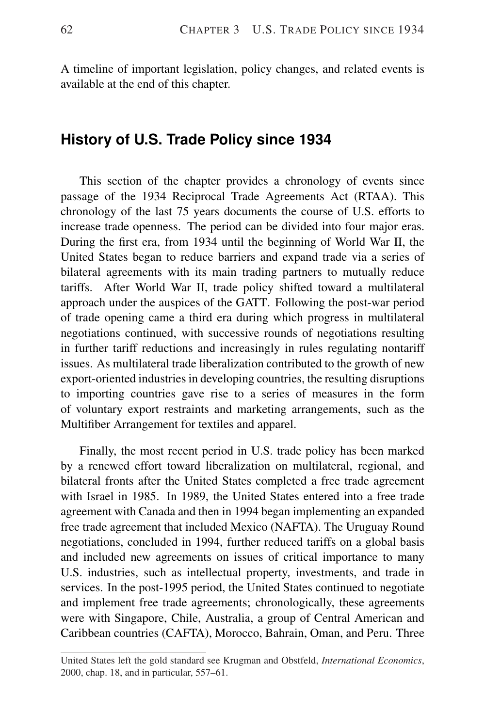A timeline of important legislation, policy changes, and related events is available at the end of this chapter.

## **History of U.S. Trade Policy since 1934**

This section of the chapter provides a chronology of events since passage of the 1934 Reciprocal Trade Agreements Act (RTAA). This chronology of the last 75 years documents the course of U.S. efforts to increase trade openness. The period can be divided into four major eras. During the first era, from 1934 until the beginning of World War II, the United States began to reduce barriers and expand trade via a series of bilateral agreements with its main trading partners to mutually reduce tariffs. After World War II, trade policy shifted toward a multilateral approach under the auspices of the GATT. Following the post-war period of trade opening came a third era during which progress in multilateral negotiations continued, with successive rounds of negotiations resulting in further tariff reductions and increasingly in rules regulating nontariff issues. As multilateral trade liberalization contributed to the growth of new export-oriented industries in developing countries, the resulting disruptions to importing countries gave rise to a series of measures in the form of voluntary export restraints and marketing arrangements, such as the Multifiber Arrangement for textiles and apparel.

Finally, the most recent period in U.S. trade policy has been marked by a renewed effort toward liberalization on multilateral, regional, and bilateral fronts after the United States completed a free trade agreement with Israel in 1985. In 1989, the United States entered into a free trade agreement with Canada and then in 1994 began implementing an expanded free trade agreement that included Mexico (NAFTA). The Uruguay Round negotiations, concluded in 1994, further reduced tariffs on a global basis and included new agreements on issues of critical importance to many U.S. industries, such as intellectual property, investments, and trade in services. In the post-1995 period, the United States continued to negotiate and implement free trade agreements; chronologically, these agreements were with Singapore, Chile, Australia, a group of Central American and Caribbean countries (CAFTA), Morocco, Bahrain, Oman, and Peru. Three

United States left the gold standard see Krugman and Obstfeld, *International Economics*, 2000, chap. 18, and in particular, 557–61.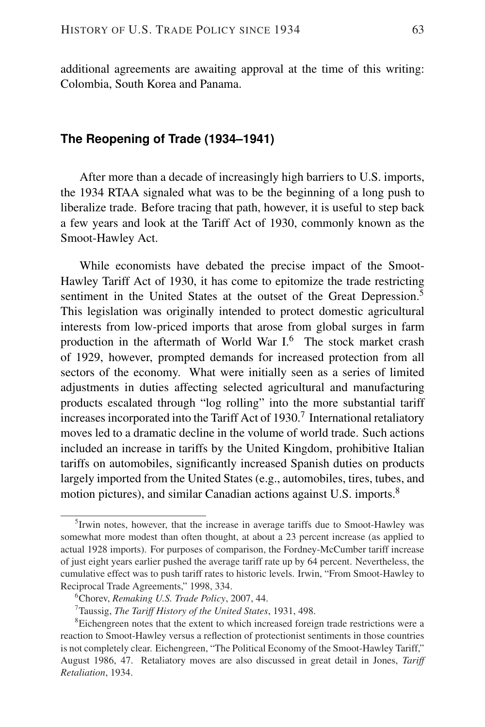additional agreements are awaiting approval at the time of this writing: Colombia, South Korea and Panama.

#### **The Reopening of Trade (1934–1941)**

After more than a decade of increasingly high barriers to U.S. imports, the 1934 RTAA signaled what was to be the beginning of a long push to liberalize trade. Before tracing that path, however, it is useful to step back a few years and look at the Tariff Act of 1930, commonly known as the Smoot-Hawley Act.

While economists have debated the precise impact of the Smoot-Hawley Tariff Act of 1930, it has come to epitomize the trade restricting sentiment in the United States at the outset of the Great Depression.<sup>5</sup> This legislation was originally intended to protect domestic agricultural interests from low-priced imports that arose from global surges in farm production in the aftermath of World War I.<sup>6</sup> The stock market crash of 1929, however, prompted demands for increased protection from all sectors of the economy. What were initially seen as a series of limited adjustments in duties affecting selected agricultural and manufacturing products escalated through "log rolling" into the more substantial tariff increases incorporated into the Tariff Act of 1930.<sup>7</sup> International retaliatory moves led to a dramatic decline in the volume of world trade. Such actions included an increase in tariffs by the United Kingdom, prohibitive Italian tariffs on automobiles, significantly increased Spanish duties on products largely imported from the United States (e.g., automobiles, tires, tubes, and motion pictures), and similar Canadian actions against U.S. imports.<sup>8</sup>

<sup>&</sup>lt;sup>5</sup> Irwin notes, however, that the increase in average tariffs due to Smoot-Hawley was somewhat more modest than often thought, at about a 23 percent increase (as applied to actual 1928 imports). For purposes of comparison, the Fordney-McCumber tariff increase of just eight years earlier pushed the average tariff rate up by 64 percent. Nevertheless, the cumulative effect was to push tariff rates to historic levels. Irwin, "From Smoot-Hawley to Reciprocal Trade Agreements," 1998, 334.

<sup>6</sup>Chorev, *Remaking U.S. Trade Policy*, 2007, 44.

<sup>7</sup>Taussig, *The Tariff History of the United States*, 1931, 498.

<sup>&</sup>lt;sup>8</sup>Eichengreen notes that the extent to which increased foreign trade restrictions were a reaction to Smoot-Hawley versus a reflection of protectionist sentiments in those countries is not completely clear. Eichengreen, "The Political Economy of the Smoot-Hawley Tariff," August 1986, 47. Retaliatory moves are also discussed in great detail in Jones, *Tariff Retaliation*, 1934.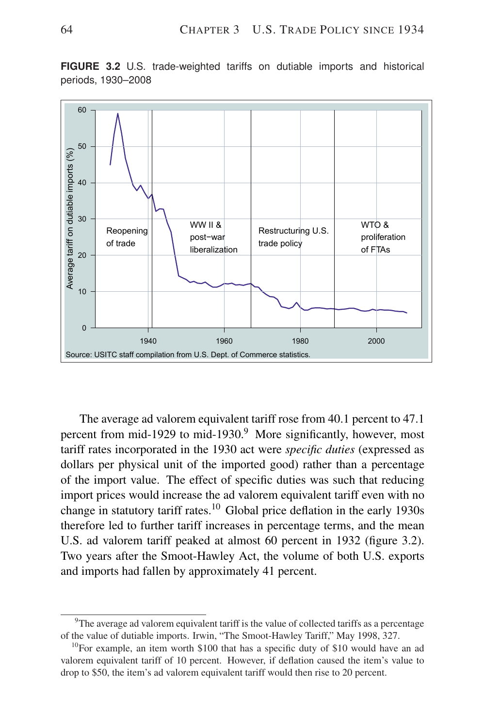

**FIGURE 3.2** U.S. trade-weighted tariffs on dutiable imports and historical periods, 1930–2008

The average ad valorem equivalent tariff rose from 40.1 percent to 47.1 percent from mid-1929 to mid-1930.<sup>9</sup> More significantly, however, most tariff rates incorporated in the 1930 act were *specific duties* (expressed as dollars per physical unit of the imported good) rather than a percentage of the import value. The effect of specific duties was such that reducing import prices would increase the ad valorem equivalent tariff even with no change in statutory tariff rates.<sup>10</sup> Global price deflation in the early 1930s therefore led to further tariff increases in percentage terms, and the mean U.S. ad valorem tariff peaked at almost 60 percent in 1932 (figure 3.2). Two years after the Smoot-Hawley Act, the volume of both U.S. exports and imports had fallen by approximately 41 percent.

<sup>&</sup>lt;sup>9</sup>The average ad valorem equivalent tariff is the value of collected tariffs as a percentage of the value of dutiable imports. Irwin, "The Smoot-Hawley Tariff," May 1998, 327.

 $10$ For example, an item worth \$100 that has a specific duty of \$10 would have an ad valorem equivalent tariff of 10 percent. However, if deflation caused the item's value to drop to \$50, the item's ad valorem equivalent tariff would then rise to 20 percent.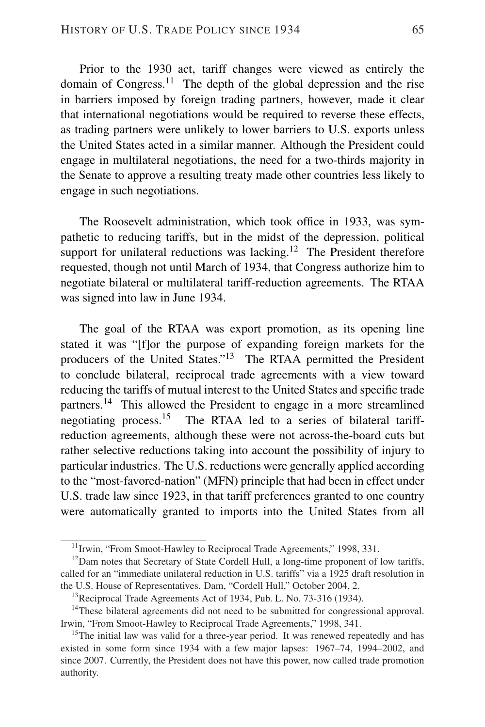Prior to the 1930 act, tariff changes were viewed as entirely the domain of Congress.<sup>11</sup> The depth of the global depression and the rise in barriers imposed by foreign trading partners, however, made it clear that international negotiations would be required to reverse these effects, as trading partners were unlikely to lower barriers to U.S. exports unless the United States acted in a similar manner. Although the President could engage in multilateral negotiations, the need for a two-thirds majority in the Senate to approve a resulting treaty made other countries less likely to engage in such negotiations.

The Roosevelt administration, which took office in 1933, was sympathetic to reducing tariffs, but in the midst of the depression, political support for unilateral reductions was lacking.<sup>12</sup> The President therefore requested, though not until March of 1934, that Congress authorize him to negotiate bilateral or multilateral tariff-reduction agreements. The RTAA was signed into law in June 1934.

The goal of the RTAA was export promotion, as its opening line stated it was "[f]or the purpose of expanding foreign markets for the producers of the United States."<sup>13</sup> The RTAA permitted the President to conclude bilateral, reciprocal trade agreements with a view toward reducing the tariffs of mutual interest to the United States and specific trade partners.<sup>14</sup> This allowed the President to engage in a more streamlined negotiating process.<sup>15</sup> The RTAA led to a series of bilateral tariffreduction agreements, although these were not across-the-board cuts but rather selective reductions taking into account the possibility of injury to particular industries. The U.S. reductions were generally applied according to the "most-favored-nation" (MFN) principle that had been in effect under U.S. trade law since 1923, in that tariff preferences granted to one country were automatically granted to imports into the United States from all

<sup>&</sup>lt;sup>11</sup> Irwin, "From Smoot-Hawley to Reciprocal Trade Agreements," 1998, 331.

<sup>&</sup>lt;sup>12</sup>Dam notes that Secretary of State Cordell Hull, a long-time proponent of low tariffs, called for an "immediate unilateral reduction in U.S. tariffs" via a 1925 draft resolution in the U.S. House of Representatives. Dam, "Cordell Hull," October 2004, 2.

 $13$ Reciprocal Trade Agreements Act of 1934, Pub. L. No. 73-316 (1934).

<sup>&</sup>lt;sup>14</sup>These bilateral agreements did not need to be submitted for congressional approval. Irwin, "From Smoot-Hawley to Reciprocal Trade Agreements," 1998, 341.

<sup>&</sup>lt;sup>15</sup>The initial law was valid for a three-year period. It was renewed repeatedly and has existed in some form since 1934 with a few major lapses: 1967–74, 1994–2002, and since 2007. Currently, the President does not have this power, now called trade promotion authority.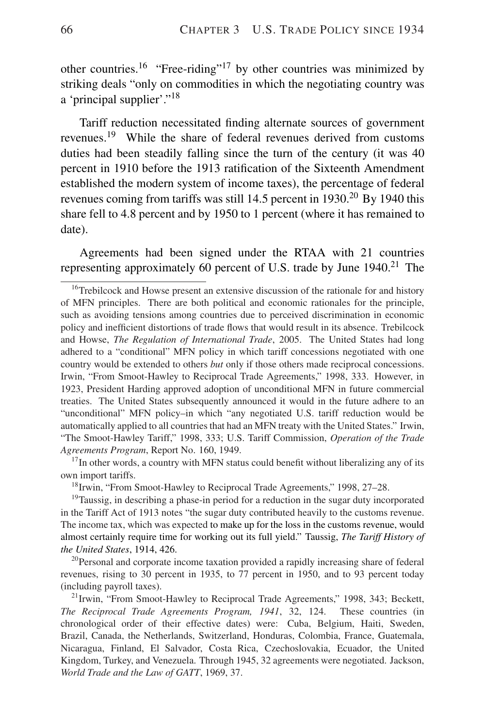other countries.<sup>16</sup> "Free-riding"<sup>17</sup> by other countries was minimized by striking deals "only on commodities in which the negotiating country was a 'principal supplier'."<sup>18</sup>

Tariff reduction necessitated finding alternate sources of government revenues.<sup>19</sup> While the share of federal revenues derived from customs duties had been steadily falling since the turn of the century (it was 40 percent in 1910 before the 1913 ratification of the Sixteenth Amendment established the modern system of income taxes), the percentage of federal revenues coming from tariffs was still  $14.5$  percent in  $1930$ .<sup>20</sup> By 1940 this share fell to 4.8 percent and by 1950 to 1 percent (where it has remained to date).

Agreements had been signed under the RTAA with 21 countries representing approximately 60 percent of U.S. trade by June  $1940$ <sup>21</sup>. The

 $17$ In other words, a country with MFN status could benefit without liberalizing any of its own import tariffs.

<sup>18</sup>Irwin, "From Smoot-Hawley to Reciprocal Trade Agreements," 1998, 27-28.

 $19$ Taussig, in describing a phase-in period for a reduction in the sugar duty incorporated in the Tariff Act of 1913 notes "the sugar duty contributed heavily to the customs revenue. The income tax, which was expected to make up for the loss in the customs revenue, would almost certainly require time for working out its full yield." Taussig, *The Tariff History of the United States*, 1914, 426.

<sup>20</sup>Personal and corporate income taxation provided a rapidly increasing share of federal revenues, rising to 30 percent in 1935, to 77 percent in 1950, and to 93 percent today (including payroll taxes).

<sup>21</sup>Irwin, "From Smoot-Hawley to Reciprocal Trade Agreements," 1998, 343; Beckett, *The Reciprocal Trade Agreements Program, 1941*, 32, 124. These countries (in chronological order of their effective dates) were: Cuba, Belgium, Haiti, Sweden, Brazil, Canada, the Netherlands, Switzerland, Honduras, Colombia, France, Guatemala, Nicaragua, Finland, El Salvador, Costa Rica, Czechoslovakia, Ecuador, the United Kingdom, Turkey, and Venezuela. Through 1945, 32 agreements were negotiated. Jackson, *World Trade and the Law of GATT*, 1969, 37.

<sup>&</sup>lt;sup>16</sup>Trebilcock and Howse present an extensive discussion of the rationale for and history of MFN principles. There are both political and economic rationales for the principle, such as avoiding tensions among countries due to perceived discrimination in economic policy and inefficient distortions of trade flows that would result in its absence. Trebilcock and Howse, *The Regulation of International Trade*, 2005. The United States had long adhered to a "conditional" MFN policy in which tariff concessions negotiated with one country would be extended to others *but* only if those others made reciprocal concessions. Irwin, "From Smoot-Hawley to Reciprocal Trade Agreements," 1998, 333. However, in 1923, President Harding approved adoption of unconditional MFN in future commercial treaties. The United States subsequently announced it would in the future adhere to an "unconditional" MFN policy–in which "any negotiated U.S. tariff reduction would be automatically applied to all countries that had an MFN treaty with the United States." Irwin, "The Smoot-Hawley Tariff," 1998, 333; U.S. Tariff Commission, *Operation of the Trade Agreements Program*, Report No. 160, 1949.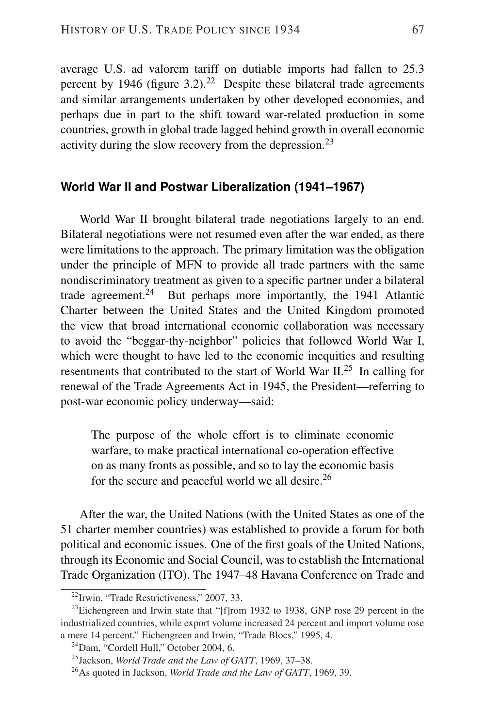average U.S. ad valorem tariff on dutiable imports had fallen to 25.3 percent by 1946 (figure  $3.2$ ).<sup>22</sup> Despite these bilateral trade agreements and similar arrangements undertaken by other developed economies, and perhaps due in part to the shift toward war-related production in some countries, growth in global trade lagged behind growth in overall economic activity during the slow recovery from the depression.<sup>23</sup>

#### **World War II and Postwar Liberalization (1941–1967)**

World War II brought bilateral trade negotiations largely to an end. Bilateral negotiations were not resumed even after the war ended, as there were limitations to the approach. The primary limitation was the obligation under the principle of MFN to provide all trade partners with the same nondiscriminatory treatment as given to a specific partner under a bilateral trade agreement.<sup>24</sup> But perhaps more importantly, the 1941 Atlantic Charter between the United States and the United Kingdom promoted the view that broad international economic collaboration was necessary to avoid the "beggar-thy-neighbor" policies that followed World War I, which were thought to have led to the economic inequities and resulting resentments that contributed to the start of World War II.<sup>25</sup> In calling for renewal of the Trade Agreements Act in 1945, the President—referring to post-war economic policy underway—said:

The purpose of the whole effort is to eliminate economic warfare, to make practical international co-operation effective on as many fronts as possible, and so to lay the economic basis for the secure and peaceful world we all desire.<sup>26</sup>

After the war, the United Nations (with the United States as one of the 51 charter member countries) was established to provide a forum for both political and economic issues. One of the first goals of the United Nations, through its Economic and Social Council, was to establish the International Trade Organization (ITO). The 1947–48 Havana Conference on Trade and

<sup>22</sup>Irwin, "Trade Restrictiveness," 2007, 33.

 $^{23}$ Eichengreen and Irwin state that "[f]rom 1932 to 1938, GNP rose 29 percent in the industrialized countries, while export volume increased 24 percent and import volume rose a mere 14 percent." Eichengreen and Irwin, "Trade Blocs," 1995, 4.

 $24$ Dam, "Cordell Hull," October 2004, 6.

<sup>25</sup>Jackson, *World Trade and the Law of GATT*, 1969, 37–38.

<sup>26</sup>As quoted in Jackson, *World Trade and the Law of GATT*, 1969, 39.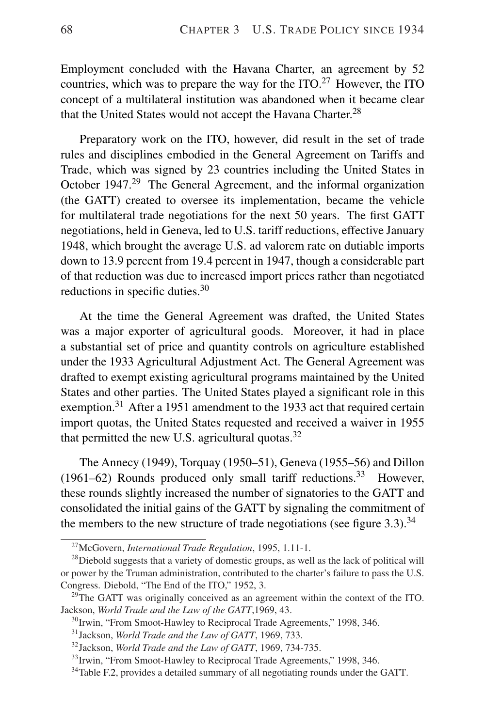Employment concluded with the Havana Charter, an agreement by 52 countries, which was to prepare the way for the  $ITO<sup>27</sup>$  However, the ITO concept of a multilateral institution was abandoned when it became clear that the United States would not accept the Havana Charter.<sup>28</sup>

Preparatory work on the ITO, however, did result in the set of trade rules and disciplines embodied in the General Agreement on Tariffs and Trade, which was signed by 23 countries including the United States in October 1947.<sup>29</sup> The General Agreement, and the informal organization (the GATT) created to oversee its implementation, became the vehicle for multilateral trade negotiations for the next 50 years. The first GATT negotiations, held in Geneva, led to U.S. tariff reductions, effective January 1948, which brought the average U.S. ad valorem rate on dutiable imports down to 13.9 percent from 19.4 percent in 1947, though a considerable part of that reduction was due to increased import prices rather than negotiated reductions in specific duties.<sup>30</sup>

At the time the General Agreement was drafted, the United States was a major exporter of agricultural goods. Moreover, it had in place a substantial set of price and quantity controls on agriculture established under the 1933 Agricultural Adjustment Act. The General Agreement was drafted to exempt existing agricultural programs maintained by the United States and other parties. The United States played a significant role in this exemption.<sup>31</sup> After a 1951 amendment to the 1933 act that required certain import quotas, the United States requested and received a waiver in 1955 that permitted the new U.S. agricultural quotas.<sup>32</sup>

The Annecy (1949), Torquay (1950–51), Geneva (1955–56) and Dillon (1961–62) Rounds produced only small tariff reductions.<sup>33</sup> However, these rounds slightly increased the number of signatories to the GATT and consolidated the initial gains of the GATT by signaling the commitment of the members to the new structure of trade negotiations (see figure  $3.3$ ).<sup>34</sup>

<sup>27</sup>McGovern, *International Trade Regulation*, 1995, 1.11-1.

 $^{28}$ Diebold suggests that a variety of domestic groups, as well as the lack of political will or power by the Truman administration, contributed to the charter's failure to pass the U.S. Congress. Diebold, "The End of the ITO," 1952, 3.

 $^{29}$ The GATT was originally conceived as an agreement within the context of the ITO. Jackson, *World Trade and the Law of the GATT*,1969, 43.

<sup>&</sup>lt;sup>30</sup>Irwin, "From Smoot-Hawley to Reciprocal Trade Agreements," 1998, 346.

<sup>31</sup>Jackson, *World Trade and the Law of GATT*, 1969, 733.

<sup>32</sup>Jackson, *World Trade and the Law of GATT*, 1969, 734-735.

<sup>&</sup>lt;sup>33</sup>Irwin, "From Smoot-Hawley to Reciprocal Trade Agreements," 1998, 346.

<sup>&</sup>lt;sup>34</sup>Table F.2, provides a detailed summary of all negotiating rounds under the GATT.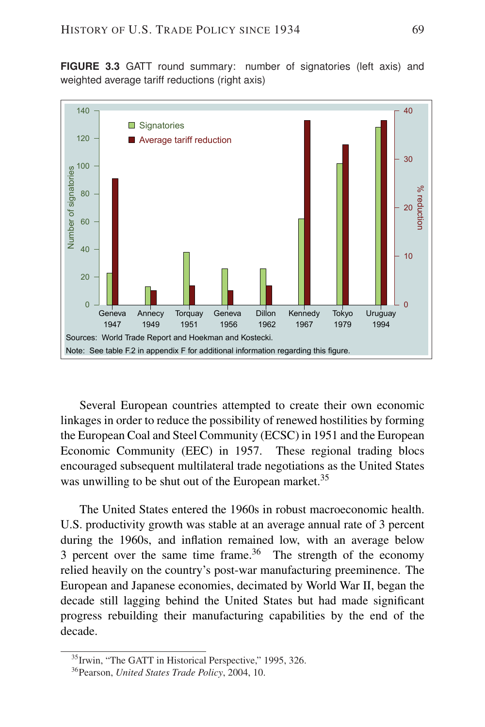**FIGURE 3.3** GATT round summary: number of signatories (left axis) and weighted average tariff reductions (right axis)



Several European countries attempted to create their own economic linkages in order to reduce the possibility of renewed hostilities by forming the European Coal and Steel Community (ECSC) in 1951 and the European Economic Community (EEC) in 1957. These regional trading blocs encouraged subsequent multilateral trade negotiations as the United States was unwilling to be shut out of the European market.<sup>35</sup>

The United States entered the 1960s in robust macroeconomic health. U.S. productivity growth was stable at an average annual rate of 3 percent during the 1960s, and inflation remained low, with an average below 3 percent over the same time frame.<sup>36</sup> The strength of the economy relied heavily on the country's post-war manufacturing preeminence. The European and Japanese economies, decimated by World War II, began the decade still lagging behind the United States but had made significant progress rebuilding their manufacturing capabilities by the end of the decade.

<sup>&</sup>lt;sup>35</sup> Irwin, "The GATT in Historical Perspective," 1995, 326.

<sup>36</sup>Pearson, *United States Trade Policy*, 2004, 10.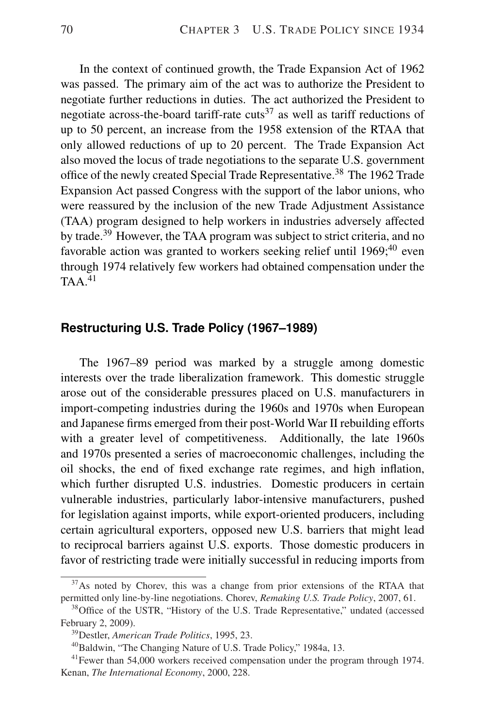In the context of continued growth, the Trade Expansion Act of 1962 was passed. The primary aim of the act was to authorize the President to negotiate further reductions in duties. The act authorized the President to negotiate across-the-board tariff-rate cuts<sup>37</sup> as well as tariff reductions of up to 50 percent, an increase from the 1958 extension of the RTAA that only allowed reductions of up to 20 percent. The Trade Expansion Act also moved the locus of trade negotiations to the separate U.S. government office of the newly created Special Trade Representative.<sup>38</sup> The 1962 Trade Expansion Act passed Congress with the support of the labor unions, who were reassured by the inclusion of the new Trade Adjustment Assistance (TAA) program designed to help workers in industries adversely affected by trade.<sup>39</sup> However, the TAA program was subject to strict criteria, and no favorable action was granted to workers seeking relief until  $1969;^{40}$  even through 1974 relatively few workers had obtained compensation under the  $TAA<sup>41</sup>$ 

#### **Restructuring U.S. Trade Policy (1967–1989)**

The 1967–89 period was marked by a struggle among domestic interests over the trade liberalization framework. This domestic struggle arose out of the considerable pressures placed on U.S. manufacturers in import-competing industries during the 1960s and 1970s when European and Japanese firms emerged from their post-World War II rebuilding efforts with a greater level of competitiveness. Additionally, the late 1960s and 1970s presented a series of macroeconomic challenges, including the oil shocks, the end of fixed exchange rate regimes, and high inflation, which further disrupted U.S. industries. Domestic producers in certain vulnerable industries, particularly labor-intensive manufacturers, pushed for legislation against imports, while export-oriented producers, including certain agricultural exporters, opposed new U.S. barriers that might lead to reciprocal barriers against U.S. exports. Those domestic producers in favor of restricting trade were initially successful in reducing imports from

 $37$ As noted by Chorev, this was a change from prior extensions of the RTAA that permitted only line-by-line negotiations. Chorev, *Remaking U.S. Trade Policy*, 2007, 61.

<sup>&</sup>lt;sup>38</sup>Office of the USTR, "History of the U.S. Trade Representative," undated (accessed February 2, 2009).

<sup>39</sup>Destler, *American Trade Politics*, 1995, 23.

<sup>40</sup>Baldwin, "The Changing Nature of U.S. Trade Policy," 1984a, 13.

<sup>&</sup>lt;sup>41</sup> Fewer than 54,000 workers received compensation under the program through 1974. Kenan, *The International Economy*, 2000, 228.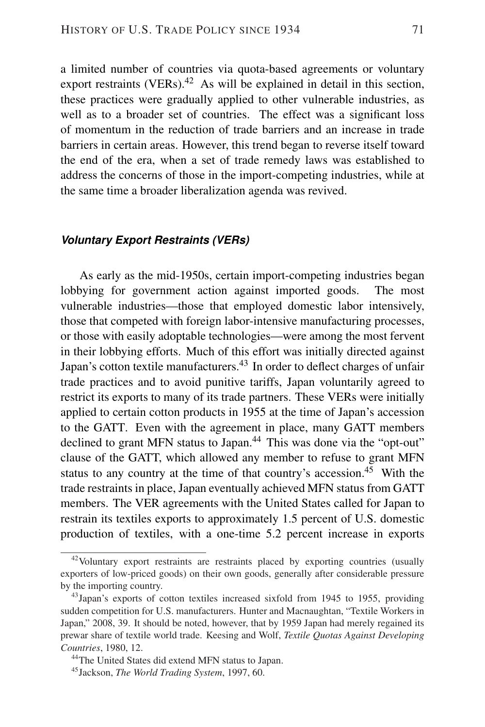a limited number of countries via quota-based agreements or voluntary export restraints (VERs). $42$  As will be explained in detail in this section, these practices were gradually applied to other vulnerable industries, as well as to a broader set of countries. The effect was a significant loss of momentum in the reduction of trade barriers and an increase in trade barriers in certain areas. However, this trend began to reverse itself toward the end of the era, when a set of trade remedy laws was established to address the concerns of those in the import-competing industries, while at the same time a broader liberalization agenda was revived.

#### *Voluntary Export Restraints (VERs)*

As early as the mid-1950s, certain import-competing industries began lobbying for government action against imported goods. The most vulnerable industries—those that employed domestic labor intensively, those that competed with foreign labor-intensive manufacturing processes, or those with easily adoptable technologies—were among the most fervent in their lobbying efforts. Much of this effort was initially directed against Japan's cotton textile manufacturers.<sup>43</sup> In order to deflect charges of unfair trade practices and to avoid punitive tariffs, Japan voluntarily agreed to restrict its exports to many of its trade partners. These VERs were initially applied to certain cotton products in 1955 at the time of Japan's accession to the GATT. Even with the agreement in place, many GATT members declined to grant MFN status to Japan.<sup>44</sup> This was done via the "opt-out" clause of the GATT, which allowed any member to refuse to grant MFN status to any country at the time of that country's accession.<sup>45</sup> With the trade restraints in place, Japan eventually achieved MFN status from GATT members. The VER agreements with the United States called for Japan to restrain its textiles exports to approximately 1.5 percent of U.S. domestic production of textiles, with a one-time 5.2 percent increase in exports

<sup>&</sup>lt;sup>42</sup>Voluntary export restraints are restraints placed by exporting countries (usually exporters of low-priced goods) on their own goods, generally after considerable pressure by the importing country.

<sup>&</sup>lt;sup>43</sup>Japan's exports of cotton textiles increased sixfold from 1945 to 1955, providing sudden competition for U.S. manufacturers. Hunter and Macnaughtan, "Textile Workers in Japan," 2008, 39. It should be noted, however, that by 1959 Japan had merely regained its prewar share of textile world trade. Keesing and Wolf, *Textile Quotas Against Developing Countries*, 1980, 12.

<sup>&</sup>lt;sup>44</sup>The United States did extend MFN status to Japan.

<sup>45</sup>Jackson, *The World Trading System*, 1997, 60.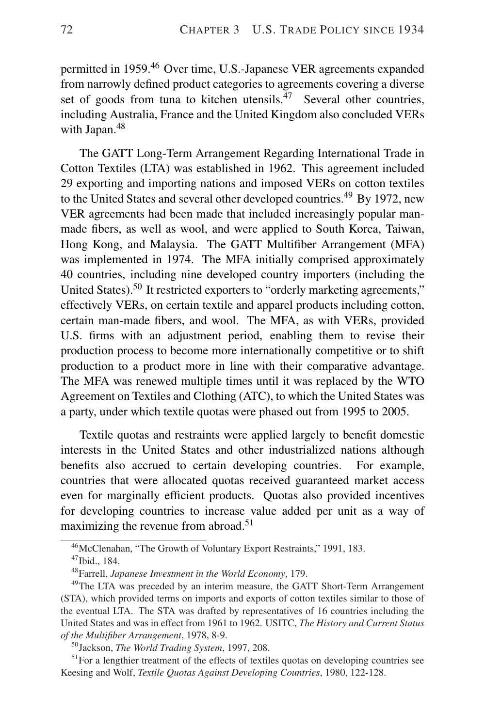permitted in 1959.<sup>46</sup> Over time, U.S.-Japanese VER agreements expanded from narrowly defined product categories to agreements covering a diverse set of goods from tuna to kitchen utensils.<sup>47</sup> Several other countries, including Australia, France and the United Kingdom also concluded VERs with Japan.<sup>48</sup>

The GATT Long-Term Arrangement Regarding International Trade in Cotton Textiles (LTA) was established in 1962. This agreement included 29 exporting and importing nations and imposed VERs on cotton textiles to the United States and several other developed countries.<sup>49</sup> By 1972, new VER agreements had been made that included increasingly popular manmade fibers, as well as wool, and were applied to South Korea, Taiwan, Hong Kong, and Malaysia. The GATT Multifiber Arrangement (MFA) was implemented in 1974. The MFA initially comprised approximately 40 countries, including nine developed country importers (including the United States).<sup>50</sup> It restricted exporters to "orderly marketing agreements," effectively VERs, on certain textile and apparel products including cotton, certain man-made fibers, and wool. The MFA, as with VERs, provided U.S. firms with an adjustment period, enabling them to revise their production process to become more internationally competitive or to shift production to a product more in line with their comparative advantage. The MFA was renewed multiple times until it was replaced by the WTO Agreement on Textiles and Clothing (ATC), to which the United States was a party, under which textile quotas were phased out from 1995 to 2005.

Textile quotas and restraints were applied largely to benefit domestic interests in the United States and other industrialized nations although benefits also accrued to certain developing countries. For example, countries that were allocated quotas received guaranteed market access even for marginally efficient products. Quotas also provided incentives for developing countries to increase value added per unit as a way of maximizing the revenue from abroad.<sup>51</sup>

<sup>46</sup>McClenahan, "The Growth of Voluntary Export Restraints," 1991, 183.

<sup>47</sup>Ibid., 184.

<sup>48</sup>Farrell, *Japanese Investment in the World Economy*, 179.

<sup>&</sup>lt;sup>49</sup>The LTA was preceded by an interim measure, the GATT Short-Term Arrangement (STA), which provided terms on imports and exports of cotton textiles similar to those of the eventual LTA. The STA was drafted by representatives of 16 countries including the United States and was in effect from 1961 to 1962. USITC, *The History and Current Status of the Multifiber Arrangement*, 1978, 8-9.

<sup>50</sup>Jackson, *The World Trading System*, 1997, 208.

 $51$  For a lengthier treatment of the effects of textiles quotas on developing countries see Keesing and Wolf, *Textile Quotas Against Developing Countries*, 1980, 122-128.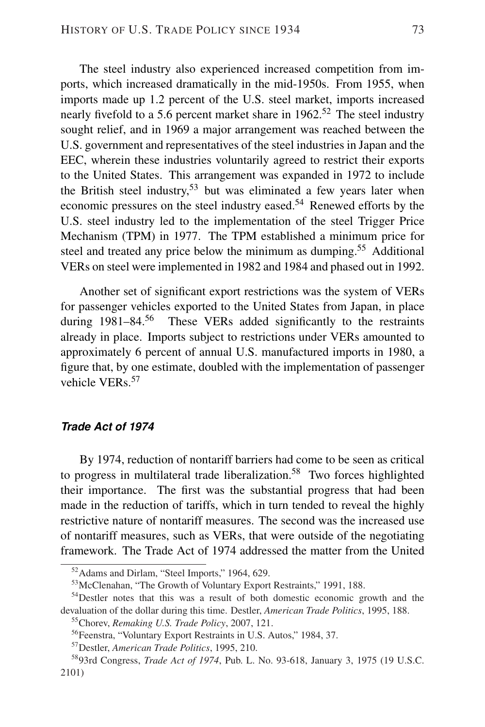The steel industry also experienced increased competition from imports, which increased dramatically in the mid-1950s. From 1955, when imports made up 1.2 percent of the U.S. steel market, imports increased nearly fivefold to a 5.6 percent market share in  $1962$ <sup>52</sup>. The steel industry sought relief, and in 1969 a major arrangement was reached between the U.S. government and representatives of the steel industries in Japan and the EEC, wherein these industries voluntarily agreed to restrict their exports to the United States. This arrangement was expanded in 1972 to include the British steel industry,  $53$  but was eliminated a few years later when economic pressures on the steel industry eased.<sup>54</sup> Renewed efforts by the U.S. steel industry led to the implementation of the steel Trigger Price Mechanism (TPM) in 1977. The TPM established a minimum price for steel and treated any price below the minimum as dumping.<sup>55</sup> Additional VERs on steel were implemented in 1982 and 1984 and phased out in 1992.

Another set of significant export restrictions was the system of VERs for passenger vehicles exported to the United States from Japan, in place during 1981–84.<sup>56</sup> These VERs added significantly to the restraints already in place. Imports subject to restrictions under VERs amounted to approximately 6 percent of annual U.S. manufactured imports in 1980, a figure that, by one estimate, doubled with the implementation of passenger vehicle VERs.<sup>57</sup>

#### *Trade Act of 1974*

By 1974, reduction of nontariff barriers had come to be seen as critical to progress in multilateral trade liberalization.<sup>58</sup> Two forces highlighted their importance. The first was the substantial progress that had been made in the reduction of tariffs, which in turn tended to reveal the highly restrictive nature of nontariff measures. The second was the increased use of nontariff measures, such as VERs, that were outside of the negotiating framework. The Trade Act of 1974 addressed the matter from the United

<sup>52</sup>Adams and Dirlam, "Steel Imports," 1964, 629.

<sup>53</sup>McClenahan, "The Growth of Voluntary Export Restraints," 1991, 188.

<sup>&</sup>lt;sup>54</sup>Destler notes that this was a result of both domestic economic growth and the devaluation of the dollar during this time. Destler, *American Trade Politics*, 1995, 188.

<sup>55</sup>Chorev, *Remaking U.S. Trade Policy*, 2007, 121.

<sup>56</sup>Feenstra, "Voluntary Export Restraints in U.S. Autos," 1984, 37.

<sup>57</sup>Destler, *American Trade Politics*, 1995, 210.

<sup>58</sup>93rd Congress, *Trade Act of 1974*, Pub. L. No. 93-618, January 3, 1975 (19 U.S.C. 2101)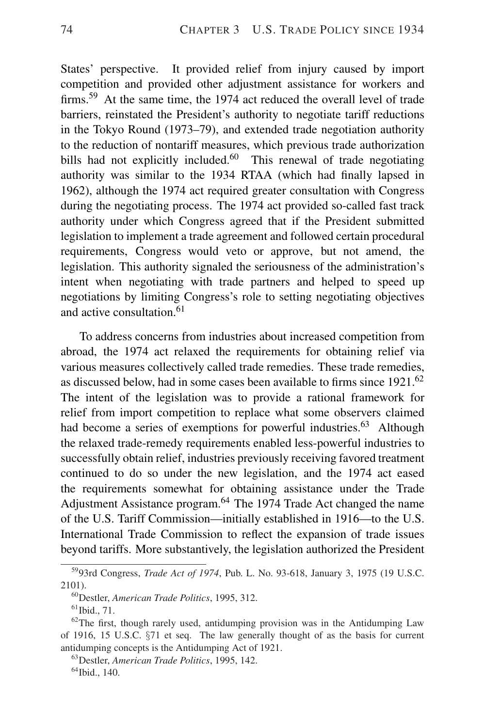States' perspective. It provided relief from injury caused by import competition and provided other adjustment assistance for workers and firms.<sup>59</sup> At the same time, the 1974 act reduced the overall level of trade barriers, reinstated the President's authority to negotiate tariff reductions in the Tokyo Round (1973–79), and extended trade negotiation authority to the reduction of nontariff measures, which previous trade authorization bills had not explicitly included. $60$  This renewal of trade negotiating authority was similar to the 1934 RTAA (which had finally lapsed in 1962), although the 1974 act required greater consultation with Congress during the negotiating process. The 1974 act provided so-called fast track authority under which Congress agreed that if the President submitted legislation to implement a trade agreement and followed certain procedural requirements, Congress would veto or approve, but not amend, the legislation. This authority signaled the seriousness of the administration's intent when negotiating with trade partners and helped to speed up negotiations by limiting Congress's role to setting negotiating objectives and active consultation.<sup>61</sup>

To address concerns from industries about increased competition from abroad, the 1974 act relaxed the requirements for obtaining relief via various measures collectively called trade remedies. These trade remedies, as discussed below, had in some cases been available to firms since 1921.<sup>62</sup> The intent of the legislation was to provide a rational framework for relief from import competition to replace what some observers claimed had become a series of exemptions for powerful industries.<sup>63</sup> Although the relaxed trade-remedy requirements enabled less-powerful industries to successfully obtain relief, industries previously receiving favored treatment continued to do so under the new legislation, and the 1974 act eased the requirements somewhat for obtaining assistance under the Trade Adjustment Assistance program.<sup>64</sup> The 1974 Trade Act changed the name of the U.S. Tariff Commission—initially established in 1916—to the U.S. International Trade Commission to reflect the expansion of trade issues beyond tariffs. More substantively, the legislation authorized the President

<sup>59</sup>93rd Congress, *Trade Act of 1974*, Pub. L. No. 93-618, January 3, 1975 (19 U.S.C. 2101).

<sup>60</sup>Destler, *American Trade Politics*, 1995, 312.

 $61$  Ibid., 71.

 $62$ The first, though rarely used, antidumping provision was in the Antidumping Law of 1916, 15 U.S.C. §71 et seq. The law generally thought of as the basis for current antidumping concepts is the Antidumping Act of 1921.

<sup>63</sup>Destler, *American Trade Politics*, 1995, 142.

<sup>&</sup>lt;sup>64</sup>Ibid., 140.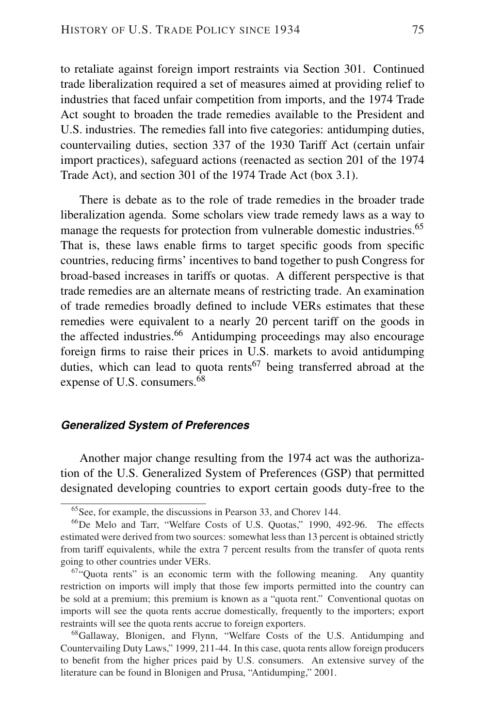to retaliate against foreign import restraints via Section 301. Continued trade liberalization required a set of measures aimed at providing relief to industries that faced unfair competition from imports, and the 1974 Trade Act sought to broaden the trade remedies available to the President and U.S. industries. The remedies fall into five categories: antidumping duties, countervailing duties, section 337 of the 1930 Tariff Act (certain unfair import practices), safeguard actions (reenacted as section 201 of the 1974 Trade Act), and section 301 of the 1974 Trade Act (box 3.1).

There is debate as to the role of trade remedies in the broader trade liberalization agenda. Some scholars view trade remedy laws as a way to manage the requests for protection from vulnerable domestic industries.<sup>65</sup> That is, these laws enable firms to target specific goods from specific countries, reducing firms' incentives to band together to push Congress for broad-based increases in tariffs or quotas. A different perspective is that trade remedies are an alternate means of restricting trade. An examination of trade remedies broadly defined to include VERs estimates that these remedies were equivalent to a nearly 20 percent tariff on the goods in the affected industries.<sup>66</sup> Antidumping proceedings may also encourage foreign firms to raise their prices in U.S. markets to avoid antidumping duties, which can lead to quota rents<sup>67</sup> being transferred abroad at the expense of U.S. consumers.<sup>68</sup>

#### *Generalized System of Preferences*

Another major change resulting from the 1974 act was the authorization of the U.S. Generalized System of Preferences (GSP) that permitted designated developing countries to export certain goods duty-free to the

<sup>65</sup>See, for example, the discussions in Pearson 33, and Chorev 144.

<sup>&</sup>lt;sup>66</sup>De Melo and Tarr, "Welfare Costs of U.S. Quotas," 1990, 492-96. The effects estimated were derived from two sources: somewhat less than 13 percent is obtained strictly from tariff equivalents, while the extra 7 percent results from the transfer of quota rents going to other countries under VERs.

<sup>&</sup>lt;sup>67</sup>"Quota rents" is an economic term with the following meaning. Any quantity restriction on imports will imply that those few imports permitted into the country can be sold at a premium; this premium is known as a "quota rent." Conventional quotas on imports will see the quota rents accrue domestically, frequently to the importers; export restraints will see the quota rents accrue to foreign exporters.

<sup>&</sup>lt;sup>68</sup>Gallaway, Blonigen, and Flynn, "Welfare Costs of the U.S. Antidumping and Countervailing Duty Laws," 1999, 211-44. In this case, quota rents allow foreign producers to benefit from the higher prices paid by U.S. consumers. An extensive survey of the literature can be found in Blonigen and Prusa, "Antidumping," 2001.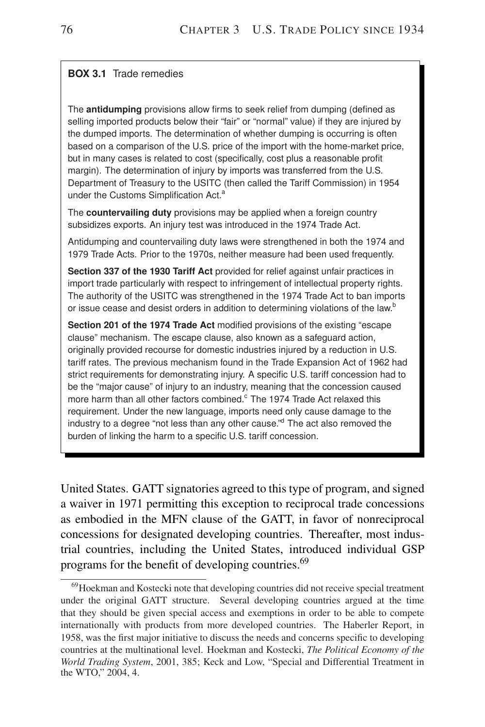#### **BOX 3.1** Trade remedies

The **antidumping** provisions allow firms to seek relief from dumping (defined as selling imported products below their "fair" or "normal" value) if they are injured by the dumped imports. The determination of whether dumping is occurring is often based on a comparison of the U.S. price of the import with the home-market price, but in many cases is related to cost (specifically, cost plus a reasonable profit margin). The determination of injury by imports was transferred from the U.S. Department of Treasury to the USITC (then called the Tariff Commission) in 1954 under the Customs Simplification Act.<sup>a</sup>

The **countervailing duty** provisions may be applied when a foreign country subsidizes exports. An injury test was introduced in the 1974 Trade Act.

Antidumping and countervailing duty laws were strengthened in both the 1974 and 1979 Trade Acts. Prior to the 1970s, neither measure had been used frequently.

**Section 337 of the 1930 Tariff Act** provided for relief against unfair practices in import trade particularly with respect to infringement of intellectual property rights. The authority of the USITC was strengthened in the 1974 Trade Act to ban imports or issue cease and desist orders in addition to determining violations of the law.<sup>b</sup>

**Section 201 of the 1974 Trade Act** modified provisions of the existing "escape clause" mechanism. The escape clause, also known as a safeguard action, originally provided recourse for domestic industries injured by a reduction in U.S. tariff rates. The previous mechanism found in the Trade Expansion Act of 1962 had strict requirements for demonstrating injury. A specific U.S. tariff concession had to be the "major cause" of injury to an industry, meaning that the concession caused more harm than all other factors combined.<sup>c</sup> The 1974 Trade Act relaxed this requirement. Under the new language, imports need only cause damage to the industry to a degree "not less than any other cause."<sup>d</sup> The act also removed the burden of linking the harm to a specific U.S. tariff concession.

United States. GATT signatories agreed to this type of program, and signed a waiver in 1971 permitting this exception to reciprocal trade concessions as embodied in the MFN clause of the GATT, in favor of nonreciprocal concessions for designated developing countries. Thereafter, most industrial countries, including the United States, introduced individual GSP programs for the benefit of developing countries.<sup>69</sup>

<sup>&</sup>lt;sup>69</sup>Hoekman and Kostecki note that developing countries did not receive special treatment under the original GATT structure. Several developing countries argued at the time that they should be given special access and exemptions in order to be able to compete internationally with products from more developed countries. The Haberler Report, in 1958, was the first major initiative to discuss the needs and concerns specific to developing countries at the multinational level. Hoekman and Kostecki, *The Political Economy of the World Trading System*, 2001, 385; Keck and Low, "Special and Differential Treatment in the WTO," 2004, 4.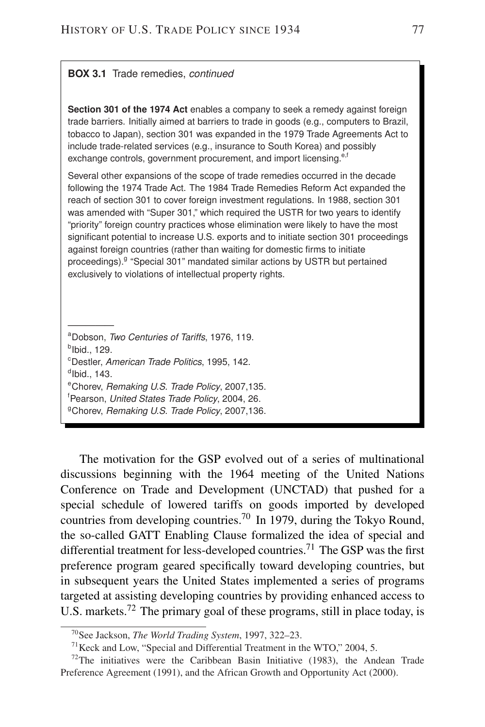#### **BOX 3.1** Trade remedies, *continued*

**Section 301 of the 1974 Act** enables a company to seek a remedy against foreign trade barriers. Initially aimed at barriers to trade in goods (e.g., computers to Brazil, tobacco to Japan), section 301 was expanded in the 1979 Trade Agreements Act to include trade-related services (e.g., insurance to South Korea) and possibly exchange controls, government procurement, and import licensing.<sup>e,f</sup>

Several other expansions of the scope of trade remedies occurred in the decade following the 1974 Trade Act. The 1984 Trade Remedies Reform Act expanded the reach of section 301 to cover foreign investment regulations. In 1988, section 301 was amended with "Super 301," which required the USTR for two years to identify "priority" foreign country practices whose elimination were likely to have the most significant potential to increase U.S. exports and to initiate section 301 proceedings against foreign countries (rather than waiting for domestic firms to initiate proceedings).<sup>g</sup> "Special 301" mandated similar actions by USTR but pertained exclusively to violations of intellectual property rights.

<sup>a</sup>Dobson, *Two Centuries of Tariffs*, 1976, 119. <sup>b</sup>lbid., 129. <sup>c</sup>Destler, *American Trade Politics*, 1995, 142.  $^d$ lbid., 143. <sup>e</sup>Chorev, *Remaking U.S. Trade Policy*, 2007,135. <sup>f</sup>Pearson, *United States Trade Policy*, 2004, 26. <sup>g</sup>Chorev, *Remaking U.S. Trade Policy*, 2007,136.

—————

The motivation for the GSP evolved out of a series of multinational discussions beginning with the 1964 meeting of the United Nations Conference on Trade and Development (UNCTAD) that pushed for a special schedule of lowered tariffs on goods imported by developed countries from developing countries.<sup>70</sup> In 1979, during the Tokyo Round, the so-called GATT Enabling Clause formalized the idea of special and differential treatment for less-developed countries.<sup>71</sup> The GSP was the first preference program geared specifically toward developing countries, but in subsequent years the United States implemented a series of programs targeted at assisting developing countries by providing enhanced access to U.S. markets.<sup>72</sup> The primary goal of these programs, still in place today, is

<sup>70</sup>See Jackson, *The World Trading System*, 1997, 322–23.

 $71$  Keck and Low, "Special and Differential Treatment in the WTO," 2004, 5.

 $72$ The initiatives were the Caribbean Basin Initiative (1983), the Andean Trade Preference Agreement (1991), and the African Growth and Opportunity Act (2000).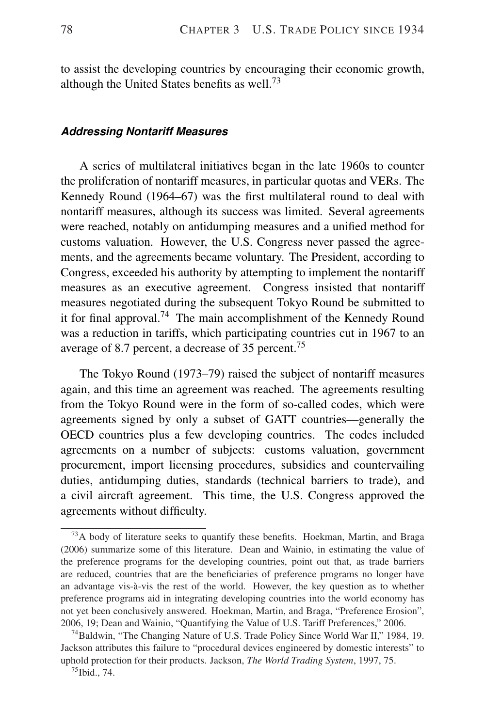to assist the developing countries by encouraging their economic growth, although the United States benefits as well.<sup>73</sup>

#### *Addressing Nontariff Measures*

A series of multilateral initiatives began in the late 1960s to counter the proliferation of nontariff measures, in particular quotas and VERs. The Kennedy Round (1964–67) was the first multilateral round to deal with nontariff measures, although its success was limited. Several agreements were reached, notably on antidumping measures and a unified method for customs valuation. However, the U.S. Congress never passed the agreements, and the agreements became voluntary. The President, according to Congress, exceeded his authority by attempting to implement the nontariff measures as an executive agreement. Congress insisted that nontariff measures negotiated during the subsequent Tokyo Round be submitted to it for final approval.<sup>74</sup> The main accomplishment of the Kennedy Round was a reduction in tariffs, which participating countries cut in 1967 to an average of 8.7 percent, a decrease of 35 percent.<sup>75</sup>

The Tokyo Round (1973–79) raised the subject of nontariff measures again, and this time an agreement was reached. The agreements resulting from the Tokyo Round were in the form of so-called codes, which were agreements signed by only a subset of GATT countries—generally the OECD countries plus a few developing countries. The codes included agreements on a number of subjects: customs valuation, government procurement, import licensing procedures, subsidies and countervailing duties, antidumping duties, standards (technical barriers to trade), and a civil aircraft agreement. This time, the U.S. Congress approved the agreements without difficulty.

 $^{73}$ A body of literature seeks to quantify these benefits. Hoekman, Martin, and Braga (2006) summarize some of this literature. Dean and Wainio, in estimating the value of the preference programs for the developing countries, point out that, as trade barriers are reduced, countries that are the beneficiaries of preference programs no longer have an advantage vis-a-vis the rest of the world. However, the key question as to whether ` preference programs aid in integrating developing countries into the world economy has not yet been conclusively answered. Hoekman, Martin, and Braga, "Preference Erosion", 2006, 19; Dean and Wainio, "Quantifying the Value of U.S. Tariff Preferences," 2006.

<sup>&</sup>lt;sup>74</sup>Baldwin, "The Changing Nature of U.S. Trade Policy Since World War II," 1984, 19. Jackson attributes this failure to "procedural devices engineered by domestic interests" to uphold protection for their products. Jackson, *The World Trading System*, 1997, 75.

<sup>75</sup>Ibid., 74.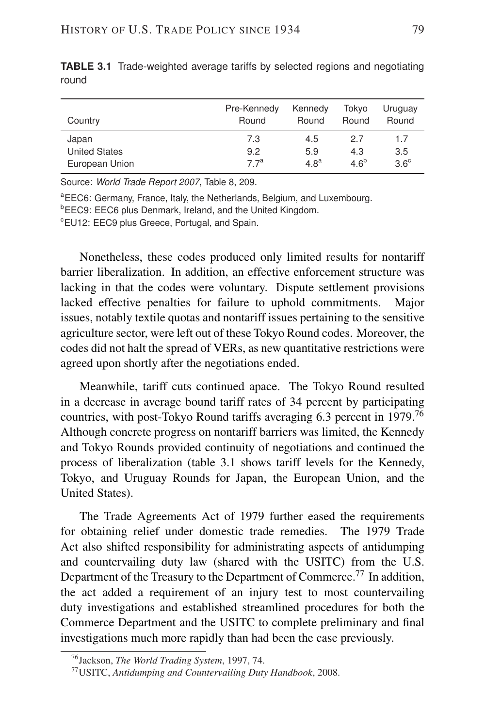| Country              | Pre-Kennedy<br>Round | Kennedy<br>Round | Tokvo<br>Round   | Uruguay<br>Round |
|----------------------|----------------------|------------------|------------------|------------------|
| Japan                | 7.3                  | 4.5              | 2.7              | 1.7              |
| <b>United States</b> | 9.2                  | 5.9              | 4.3              | 3.5              |
| European Union       | 77 <sup>a</sup>      | 4.8 <sup>a</sup> | 4.6 <sup>b</sup> | $3.6^\circ$      |

**TABLE 3.1** Trade-weighted average tariffs by selected regions and negotiating round

Source: *World Trade Report 2007*, Table 8, 209.

<sup>a</sup>EEC6: Germany, France, Italy, the Netherlands, Belgium, and Luxembourg.

**bEEC9: EEC6 plus Denmark, Ireland, and the United Kingdom.** 

<sup>c</sup>EU12: EEC9 plus Greece, Portugal, and Spain.

Nonetheless, these codes produced only limited results for nontariff barrier liberalization. In addition, an effective enforcement structure was lacking in that the codes were voluntary. Dispute settlement provisions lacked effective penalties for failure to uphold commitments. Major issues, notably textile quotas and nontariff issues pertaining to the sensitive agriculture sector, were left out of these Tokyo Round codes. Moreover, the codes did not halt the spread of VERs, as new quantitative restrictions were agreed upon shortly after the negotiations ended.

Meanwhile, tariff cuts continued apace. The Tokyo Round resulted in a decrease in average bound tariff rates of 34 percent by participating countries, with post-Tokyo Round tariffs averaging 6.3 percent in 1979.<sup>76</sup> Although concrete progress on nontariff barriers was limited, the Kennedy and Tokyo Rounds provided continuity of negotiations and continued the process of liberalization (table 3.1 shows tariff levels for the Kennedy, Tokyo, and Uruguay Rounds for Japan, the European Union, and the United States).

The Trade Agreements Act of 1979 further eased the requirements for obtaining relief under domestic trade remedies. The 1979 Trade Act also shifted responsibility for administrating aspects of antidumping and countervailing duty law (shared with the USITC) from the U.S. Department of the Treasury to the Department of Commerce.<sup>77</sup> In addition, the act added a requirement of an injury test to most countervailing duty investigations and established streamlined procedures for both the Commerce Department and the USITC to complete preliminary and final investigations much more rapidly than had been the case previously.

<sup>76</sup>Jackson, *The World Trading System*, 1997, 74.

<sup>77</sup>USITC, *Antidumping and Countervailing Duty Handbook*, 2008.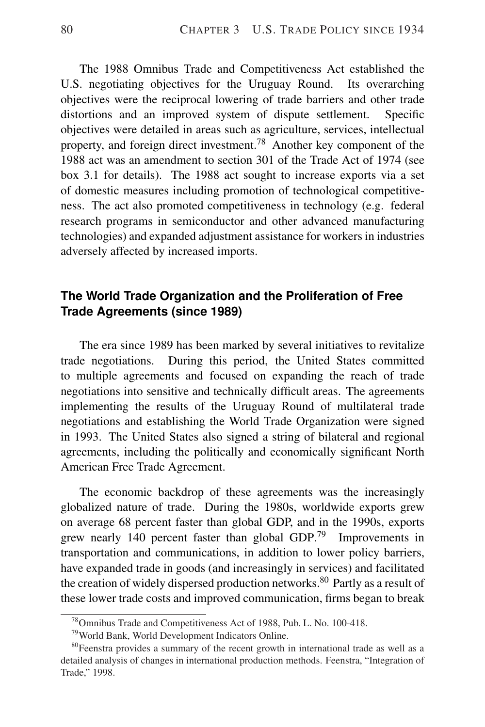The 1988 Omnibus Trade and Competitiveness Act established the U.S. negotiating objectives for the Uruguay Round. Its overarching objectives were the reciprocal lowering of trade barriers and other trade distortions and an improved system of dispute settlement. Specific objectives were detailed in areas such as agriculture, services, intellectual property, and foreign direct investment.<sup>78</sup> Another key component of the 1988 act was an amendment to section 301 of the Trade Act of 1974 (see box 3.1 for details). The 1988 act sought to increase exports via a set of domestic measures including promotion of technological competitiveness. The act also promoted competitiveness in technology (e.g. federal research programs in semiconductor and other advanced manufacturing technologies) and expanded adjustment assistance for workers in industries adversely affected by increased imports.

#### **The World Trade Organization and the Proliferation of Free Trade Agreements (since 1989)**

The era since 1989 has been marked by several initiatives to revitalize trade negotiations. During this period, the United States committed to multiple agreements and focused on expanding the reach of trade negotiations into sensitive and technically difficult areas. The agreements implementing the results of the Uruguay Round of multilateral trade negotiations and establishing the World Trade Organization were signed in 1993. The United States also signed a string of bilateral and regional agreements, including the politically and economically significant North American Free Trade Agreement.

The economic backdrop of these agreements was the increasingly globalized nature of trade. During the 1980s, worldwide exports grew on average 68 percent faster than global GDP, and in the 1990s, exports grew nearly 140 percent faster than global GDP.<sup>79</sup> Improvements in transportation and communications, in addition to lower policy barriers, have expanded trade in goods (and increasingly in services) and facilitated the creation of widely dispersed production networks.<sup>80</sup> Partly as a result of these lower trade costs and improved communication, firms began to break

<sup>78</sup>Omnibus Trade and Competitiveness Act of 1988, Pub. L. No. 100-418.

<sup>79</sup>World Bank, World Development Indicators Online.

<sup>&</sup>lt;sup>80</sup>Feenstra provides a summary of the recent growth in international trade as well as a detailed analysis of changes in international production methods. Feenstra, "Integration of Trade," 1998.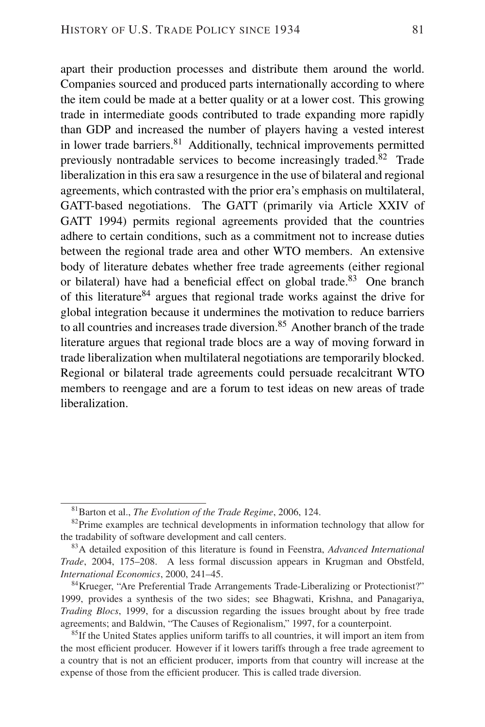apart their production processes and distribute them around the world. Companies sourced and produced parts internationally according to where the item could be made at a better quality or at a lower cost. This growing trade in intermediate goods contributed to trade expanding more rapidly than GDP and increased the number of players having a vested interest in lower trade barriers.<sup>81</sup> Additionally, technical improvements permitted previously nontradable services to become increasingly traded.<sup>82</sup> Trade liberalization in this era saw a resurgence in the use of bilateral and regional agreements, which contrasted with the prior era's emphasis on multilateral, GATT-based negotiations. The GATT (primarily via Article XXIV of GATT 1994) permits regional agreements provided that the countries adhere to certain conditions, such as a commitment not to increase duties between the regional trade area and other WTO members. An extensive body of literature debates whether free trade agreements (either regional or bilateral) have had a beneficial effect on global trade.<sup>83</sup> One branch of this literature<sup>84</sup> argues that regional trade works against the drive for global integration because it undermines the motivation to reduce barriers to all countries and increases trade diversion.<sup>85</sup> Another branch of the trade literature argues that regional trade blocs are a way of moving forward in trade liberalization when multilateral negotiations are temporarily blocked. Regional or bilateral trade agreements could persuade recalcitrant WTO members to reengage and are a forum to test ideas on new areas of trade liberalization.

<sup>81</sup>Barton et al., *The Evolution of the Trade Regime*, 2006, 124.

 $82$ Prime examples are technical developments in information technology that allow for the tradability of software development and call centers.

<sup>83</sup>A detailed exposition of this literature is found in Feenstra, *Advanced International Trade*, 2004, 175–208. A less formal discussion appears in Krugman and Obstfeld, *International Economics*, 2000, 241–45.

<sup>84</sup>Krueger, "Are Preferential Trade Arrangements Trade-Liberalizing or Protectionist?" 1999, provides a synthesis of the two sides; see Bhagwati, Krishna, and Panagariya, *Trading Blocs*, 1999, for a discussion regarding the issues brought about by free trade agreements; and Baldwin, "The Causes of Regionalism," 1997, for a counterpoint.

<sup>&</sup>lt;sup>85</sup>If the United States applies uniform tariffs to all countries, it will import an item from the most efficient producer. However if it lowers tariffs through a free trade agreement to a country that is not an efficient producer, imports from that country will increase at the expense of those from the efficient producer. This is called trade diversion.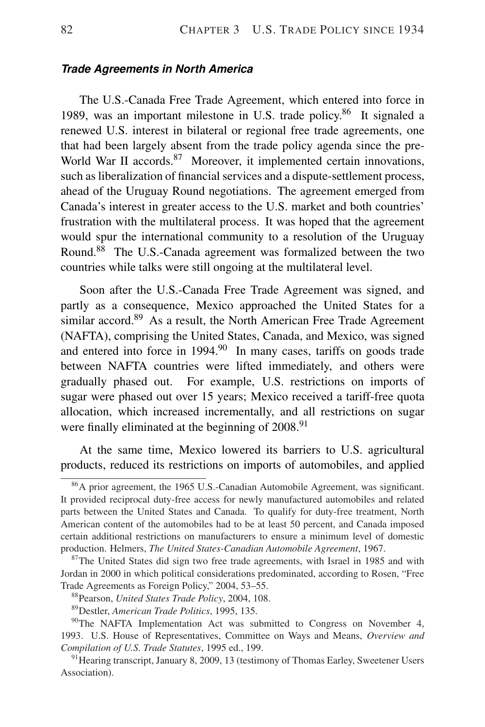#### *Trade Agreements in North America*

The U.S.-Canada Free Trade Agreement, which entered into force in 1989, was an important milestone in U.S. trade policy.<sup>86</sup> It signaled a renewed U.S. interest in bilateral or regional free trade agreements, one that had been largely absent from the trade policy agenda since the pre-World War II accords.<sup>87</sup> Moreover, it implemented certain innovations, such as liberalization of financial services and a dispute-settlement process, ahead of the Uruguay Round negotiations. The agreement emerged from Canada's interest in greater access to the U.S. market and both countries' frustration with the multilateral process. It was hoped that the agreement would spur the international community to a resolution of the Uruguay Round.<sup>88</sup> The U.S.-Canada agreement was formalized between the two countries while talks were still ongoing at the multilateral level.

Soon after the U.S.-Canada Free Trade Agreement was signed, and partly as a consequence, Mexico approached the United States for a similar accord.<sup>89</sup> As a result, the North American Free Trade Agreement (NAFTA), comprising the United States, Canada, and Mexico, was signed and entered into force in  $1994$ .<sup>90</sup> In many cases, tariffs on goods trade between NAFTA countries were lifted immediately, and others were gradually phased out. For example, U.S. restrictions on imports of sugar were phased out over 15 years; Mexico received a tariff-free quota allocation, which increased incrementally, and all restrictions on sugar were finally eliminated at the beginning of 2008.<sup>91</sup>

At the same time, Mexico lowered its barriers to U.S. agricultural products, reduced its restrictions on imports of automobiles, and applied

<sup>86</sup>A prior agreement, the 1965 U.S.-Canadian Automobile Agreement, was significant. It provided reciprocal duty-free access for newly manufactured automobiles and related parts between the United States and Canada. To qualify for duty-free treatment, North American content of the automobiles had to be at least 50 percent, and Canada imposed certain additional restrictions on manufacturers to ensure a minimum level of domestic production. Helmers, *The United States-Canadian Automobile Agreement*, 1967.

<sup>&</sup>lt;sup>87</sup>The United States did sign two free trade agreements, with Israel in 1985 and with Jordan in 2000 in which political considerations predominated, according to Rosen, "Free Trade Agreements as Foreign Policy," 2004, 53–55.

<sup>88</sup>Pearson, *United States Trade Policy*, 2004, 108.

<sup>89</sup>Destler, *American Trade Politics*, 1995, 135.

 $90$ <sup>90</sup>The NAFTA Implementation Act was submitted to Congress on November 4, 1993. U.S. House of Representatives, Committee on Ways and Means, *Overview and Compilation of U.S. Trade Statutes*, 1995 ed., 199.

<sup>&</sup>lt;sup>91</sup> Hearing transcript, January 8, 2009, 13 (testimony of Thomas Earley, Sweetener Users Association).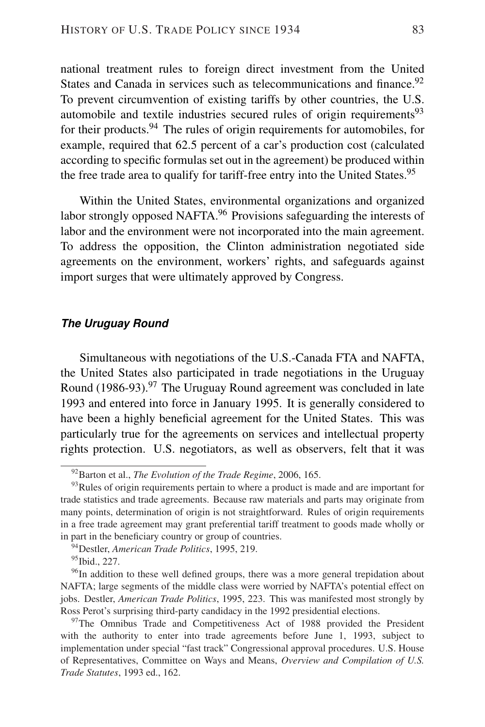national treatment rules to foreign direct investment from the United States and Canada in services such as telecommunications and finance.<sup>92</sup> To prevent circumvention of existing tariffs by other countries, the U.S. automobile and textile industries secured rules of origin requirements $93$ for their products. <sup>94</sup> The rules of origin requirements for automobiles, for example, required that 62.5 percent of a car's production cost (calculated according to specific formulas set out in the agreement) be produced within the free trade area to qualify for tariff-free entry into the United States.<sup>95</sup>

Within the United States, environmental organizations and organized labor strongly opposed NAFTA.<sup>96</sup> Provisions safeguarding the interests of labor and the environment were not incorporated into the main agreement. To address the opposition, the Clinton administration negotiated side agreements on the environment, workers' rights, and safeguards against import surges that were ultimately approved by Congress.

#### *The Uruguay Round*

Simultaneous with negotiations of the U.S.-Canada FTA and NAFTA, the United States also participated in trade negotiations in the Uruguay Round (1986-93).<sup>97</sup> The Uruguay Round agreement was concluded in late 1993 and entered into force in January 1995. It is generally considered to have been a highly beneficial agreement for the United States. This was particularly true for the agreements on services and intellectual property rights protection. U.S. negotiators, as well as observers, felt that it was

<sup>92</sup>Barton et al., *The Evolution of the Trade Regime*, 2006, 165.

 $93$ Rules of origin requirements pertain to where a product is made and are important for trade statistics and trade agreements. Because raw materials and parts may originate from many points, determination of origin is not straightforward. Rules of origin requirements in a free trade agreement may grant preferential tariff treatment to goods made wholly or in part in the beneficiary country or group of countries.

<sup>94</sup>Destler, *American Trade Politics*, 1995, 219.

<sup>95</sup>Ibid., 227.

<sup>&</sup>lt;sup>96</sup>In addition to these well defined groups, there was a more general trepidation about NAFTA; large segments of the middle class were worried by NAFTA's potential effect on jobs. Destler, *American Trade Politics*, 1995, 223. This was manifested most strongly by Ross Perot's surprising third-party candidacy in the 1992 presidential elections.

 $97$ The Omnibus Trade and Competitiveness Act of 1988 provided the President with the authority to enter into trade agreements before June 1, 1993, subject to implementation under special "fast track" Congressional approval procedures. U.S. House of Representatives, Committee on Ways and Means, *Overview and Compilation of U.S. Trade Statutes*, 1993 ed., 162.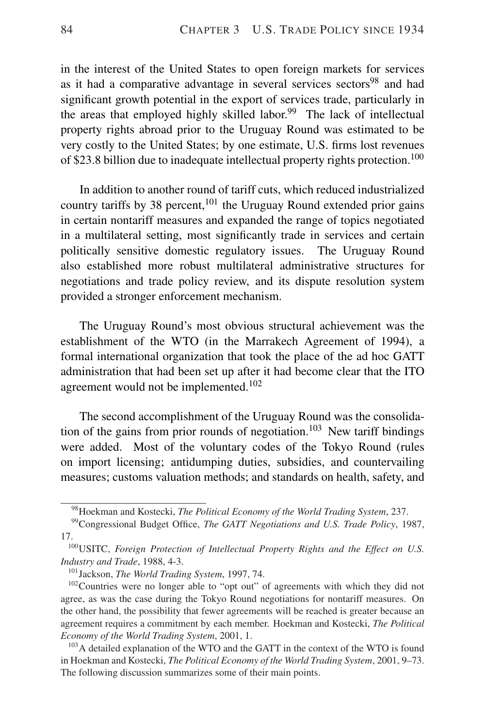in the interest of the United States to open foreign markets for services as it had a comparative advantage in several services sectors<sup>98</sup> and had significant growth potential in the export of services trade, particularly in the areas that employed highly skilled labor.<sup>99</sup> The lack of intellectual property rights abroad prior to the Uruguay Round was estimated to be very costly to the United States; by one estimate, U.S. firms lost revenues of \$23.8 billion due to inadequate intellectual property rights protection.<sup>100</sup>

In addition to another round of tariff cuts, which reduced industrialized country tariffs by 38 percent, <sup>101</sup> the Uruguay Round extended prior gains in certain nontariff measures and expanded the range of topics negotiated in a multilateral setting, most significantly trade in services and certain politically sensitive domestic regulatory issues. The Uruguay Round also established more robust multilateral administrative structures for negotiations and trade policy review, and its dispute resolution system provided a stronger enforcement mechanism.

The Uruguay Round's most obvious structural achievement was the establishment of the WTO (in the Marrakech Agreement of 1994), a formal international organization that took the place of the ad hoc GATT administration that had been set up after it had become clear that the ITO agreement would not be implemented.<sup>102</sup>

The second accomplishment of the Uruguay Round was the consolidation of the gains from prior rounds of negotiation.<sup>103</sup> New tariff bindings were added. Most of the voluntary codes of the Tokyo Round (rules on import licensing; antidumping duties, subsidies, and countervailing measures; customs valuation methods; and standards on health, safety, and

<sup>98</sup>Hoekman and Kostecki, *The Political Economy of the World Trading System*, 237.

<sup>99</sup>Congressional Budget Office, *The GATT Negotiations and U.S. Trade Policy*, 1987, 17.

<sup>100</sup>USITC, *Foreign Protection of Intellectual Property Rights and the Effect on U.S. Industry and Trade*, 1988, 4-3.

<sup>101</sup>Jackson, *The World Trading System*, 1997, 74.

<sup>&</sup>lt;sup>102</sup>Countries were no longer able to "opt out" of agreements with which they did not agree, as was the case during the Tokyo Round negotiations for nontariff measures. On the other hand, the possibility that fewer agreements will be reached is greater because an agreement requires a commitment by each member. Hoekman and Kostecki, *The Political Economy of the World Trading System*, 2001, 1.

<sup>&</sup>lt;sup>103</sup>A detailed explanation of the WTO and the GATT in the context of the WTO is found in Hoekman and Kostecki, *The Political Economy of the World Trading System*, 2001, 9–73. The following discussion summarizes some of their main points.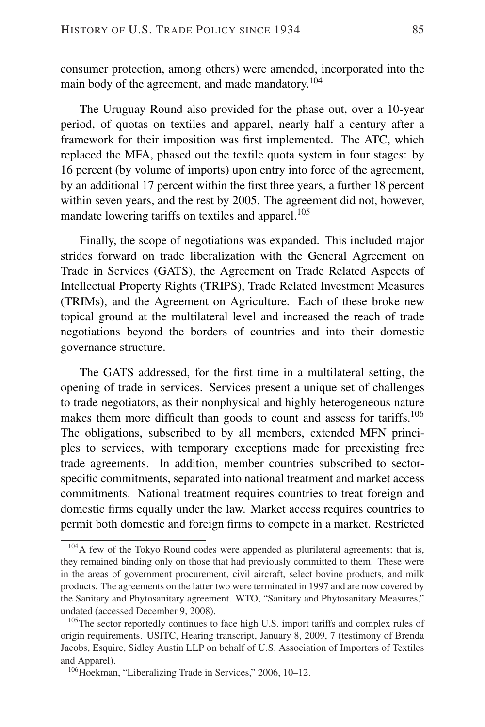consumer protection, among others) were amended, incorporated into the main body of the agreement, and made mandatory.<sup>104</sup>

The Uruguay Round also provided for the phase out, over a 10-year period, of quotas on textiles and apparel, nearly half a century after a framework for their imposition was first implemented. The ATC, which replaced the MFA, phased out the textile quota system in four stages: by 16 percent (by volume of imports) upon entry into force of the agreement, by an additional 17 percent within the first three years, a further 18 percent within seven years, and the rest by 2005. The agreement did not, however, mandate lowering tariffs on textiles and apparel. $105$ 

Finally, the scope of negotiations was expanded. This included major strides forward on trade liberalization with the General Agreement on Trade in Services (GATS), the Agreement on Trade Related Aspects of Intellectual Property Rights (TRIPS), Trade Related Investment Measures (TRIMs), and the Agreement on Agriculture. Each of these broke new topical ground at the multilateral level and increased the reach of trade negotiations beyond the borders of countries and into their domestic governance structure.

The GATS addressed, for the first time in a multilateral setting, the opening of trade in services. Services present a unique set of challenges to trade negotiators, as their nonphysical and highly heterogeneous nature makes them more difficult than goods to count and assess for tariffs.<sup>106</sup> The obligations, subscribed to by all members, extended MFN principles to services, with temporary exceptions made for preexisting free trade agreements. In addition, member countries subscribed to sectorspecific commitments, separated into national treatment and market access commitments. National treatment requires countries to treat foreign and domestic firms equally under the law. Market access requires countries to permit both domestic and foreign firms to compete in a market. Restricted

<sup>&</sup>lt;sup>104</sup>A few of the Tokyo Round codes were appended as plurilateral agreements; that is, they remained binding only on those that had previously committed to them. These were in the areas of government procurement, civil aircraft, select bovine products, and milk products. The agreements on the latter two were terminated in 1997 and are now covered by the Sanitary and Phytosanitary agreement. WTO, "Sanitary and Phytosanitary Measures," undated (accessed December 9, 2008).

<sup>&</sup>lt;sup>105</sup>The sector reportedly continues to face high U.S. import tariffs and complex rules of origin requirements. USITC, Hearing transcript, January 8, 2009, 7 (testimony of Brenda Jacobs, Esquire, Sidley Austin LLP on behalf of U.S. Association of Importers of Textiles and Apparel).

<sup>106</sup>Hoekman, "Liberalizing Trade in Services," 2006, 10–12.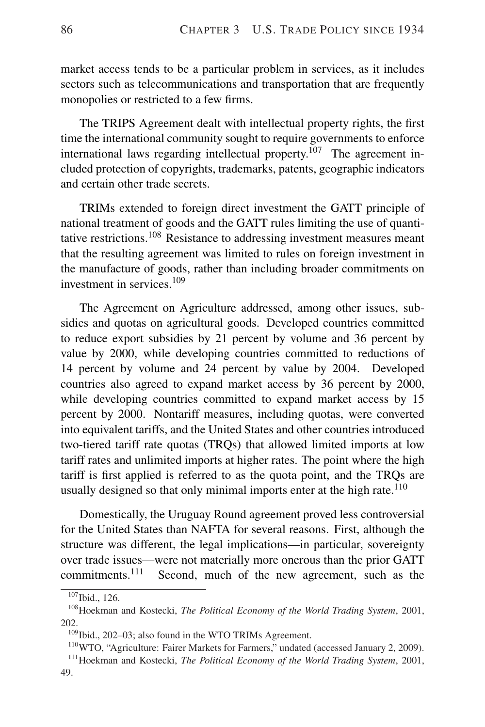market access tends to be a particular problem in services, as it includes sectors such as telecommunications and transportation that are frequently monopolies or restricted to a few firms.

The TRIPS Agreement dealt with intellectual property rights, the first time the international community sought to require governments to enforce international laws regarding intellectual property.<sup>107</sup> The agreement included protection of copyrights, trademarks, patents, geographic indicators and certain other trade secrets.

TRIMs extended to foreign direct investment the GATT principle of national treatment of goods and the GATT rules limiting the use of quantitative restrictions.<sup>108</sup> Resistance to addressing investment measures meant that the resulting agreement was limited to rules on foreign investment in the manufacture of goods, rather than including broader commitments on investment in services.<sup>109</sup>

The Agreement on Agriculture addressed, among other issues, subsidies and quotas on agricultural goods. Developed countries committed to reduce export subsidies by 21 percent by volume and 36 percent by value by 2000, while developing countries committed to reductions of 14 percent by volume and 24 percent by value by 2004. Developed countries also agreed to expand market access by 36 percent by 2000, while developing countries committed to expand market access by 15 percent by 2000. Nontariff measures, including quotas, were converted into equivalent tariffs, and the United States and other countries introduced two-tiered tariff rate quotas (TRQs) that allowed limited imports at low tariff rates and unlimited imports at higher rates. The point where the high tariff is first applied is referred to as the quota point, and the TRQs are usually designed so that only minimal imports enter at the high rate.<sup>110</sup>

Domestically, the Uruguay Round agreement proved less controversial for the United States than NAFTA for several reasons. First, although the structure was different, the legal implications—in particular, sovereignty over trade issues—were not materially more onerous than the prior GATT commitments.<sup>111</sup> Second, much of the new agreement, such as the

<sup>107</sup>Ibid., 126.

<sup>108</sup>Hoekman and Kostecki, *The Political Economy of the World Trading System*, 2001, 202.

<sup>&</sup>lt;sup>109</sup>Ibid., 202-03; also found in the WTO TRIMs Agreement.

<sup>&</sup>lt;sup>110</sup>WTO, "Agriculture: Fairer Markets for Farmers," undated (accessed January 2, 2009).

<sup>111</sup>Hoekman and Kostecki, *The Political Economy of the World Trading System*, 2001, 49.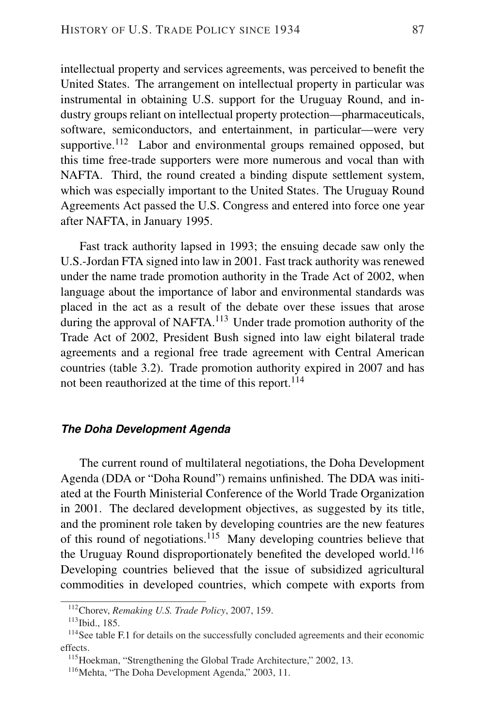intellectual property and services agreements, was perceived to benefit the United States. The arrangement on intellectual property in particular was instrumental in obtaining U.S. support for the Uruguay Round, and industry groups reliant on intellectual property protection—pharmaceuticals, software, semiconductors, and entertainment, in particular—were very supportive.<sup>112</sup> Labor and environmental groups remained opposed, but this time free-trade supporters were more numerous and vocal than with NAFTA. Third, the round created a binding dispute settlement system, which was especially important to the United States. The Uruguay Round Agreements Act passed the U.S. Congress and entered into force one year after NAFTA, in January 1995.

Fast track authority lapsed in 1993; the ensuing decade saw only the U.S.-Jordan FTA signed into law in 2001. Fast track authority was renewed under the name trade promotion authority in the Trade Act of 2002, when language about the importance of labor and environmental standards was placed in the act as a result of the debate over these issues that arose during the approval of NAFTA.<sup>113</sup> Under trade promotion authority of the Trade Act of 2002, President Bush signed into law eight bilateral trade agreements and a regional free trade agreement with Central American countries (table 3.2). Trade promotion authority expired in 2007 and has not been reauthorized at the time of this report.<sup>114</sup>

#### *The Doha Development Agenda*

The current round of multilateral negotiations, the Doha Development Agenda (DDA or "Doha Round") remains unfinished. The DDA was initiated at the Fourth Ministerial Conference of the World Trade Organization in 2001. The declared development objectives, as suggested by its title, and the prominent role taken by developing countries are the new features of this round of negotiations.<sup>115</sup> Many developing countries believe that the Uruguay Round disproportionately benefited the developed world.<sup>116</sup> Developing countries believed that the issue of subsidized agricultural commodities in developed countries, which compete with exports from

<sup>112</sup>Chorev, *Remaking U.S. Trade Policy*, 2007, 159.

<sup>113</sup>Ibid., 185.

<sup>&</sup>lt;sup>114</sup>See table F.1 for details on the successfully concluded agreements and their economic effects.

<sup>&</sup>lt;sup>115</sup>Hoekman, "Strengthening the Global Trade Architecture," 2002, 13.

<sup>&</sup>lt;sup>116</sup>Mehta, "The Doha Development Agenda," 2003, 11.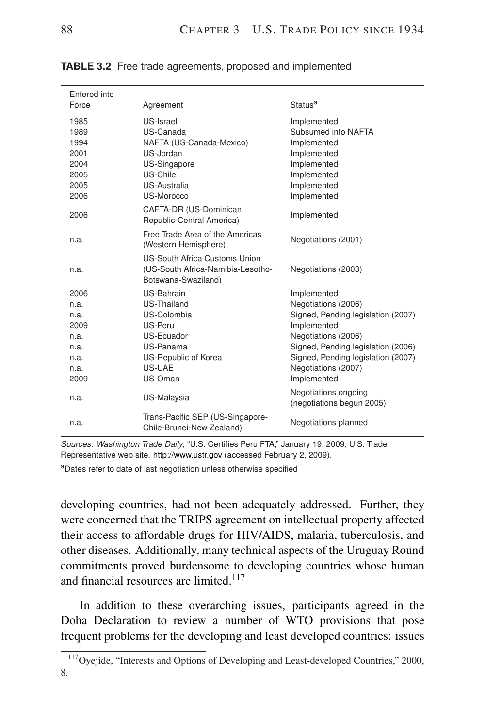| Entered into |                                                                                                  |                                                   |
|--------------|--------------------------------------------------------------------------------------------------|---------------------------------------------------|
| Force        | Agreement                                                                                        | Status <sup>a</sup>                               |
| 1985         | US-Israel                                                                                        | Implemented                                       |
| 1989         | US-Canada                                                                                        | Subsumed into NAFTA                               |
| 1994         | NAFTA (US-Canada-Mexico)                                                                         | Implemented                                       |
| 2001         | US-Jordan                                                                                        | Implemented                                       |
| 2004         | US-Singapore                                                                                     | Implemented                                       |
| 2005         | US-Chile                                                                                         | Implemented                                       |
| 2005         | US-Australia                                                                                     | Implemented                                       |
| 2006         | US-Morocco                                                                                       | Implemented                                       |
| 2006         | CAFTA-DR (US-Dominican<br>Republic-Central America)                                              | Implemented                                       |
| n.a.         | Free Trade Area of the Americas<br>(Western Hemisphere)                                          | Negotiations (2001)                               |
| n.a.         | <b>US-South Africa Customs Union</b><br>(US-South Africa-Namibia-Lesotho-<br>Botswana-Swaziland) | Negotiations (2003)                               |
| 2006         | US-Bahrain                                                                                       | Implemented                                       |
| n.a.         | US-Thailand                                                                                      | Negotiations (2006)                               |
| n.a.         | US-Colombia                                                                                      | Signed, Pending legislation (2007)                |
| 2009         | US-Peru                                                                                          | Implemented                                       |
| n.a.         | US-Ecuador                                                                                       | Negotiations (2006)                               |
| n.a.         | US-Panama                                                                                        | Signed, Pending legislation (2006)                |
| n.a.         | US-Republic of Korea                                                                             | Signed, Pending legislation (2007)                |
| n.a.         | US-UAE                                                                                           | Negotiations (2007)                               |
| 2009         | US-Oman                                                                                          | Implemented                                       |
| n.a.         | US-Malaysia                                                                                      | Negotiations ongoing<br>(negotiations begun 2005) |
| n.a.         | Trans-Pacific SEP (US-Singapore-<br>Chile-Brunei-New Zealand)                                    | Negotiations planned                              |

**TABLE 3.2** Free trade agreements, proposed and implemented

*Sources*: *Washington Trade Daily*, "U.S. Certifies Peru FTA," January 19, 2009; U.S. Trade Representative web site. <http://www.ustr.gov> (accessed February 2, 2009).

<sup>a</sup>Dates refer to date of last negotiation unless otherwise specified

developing countries, had not been adequately addressed. Further, they were concerned that the TRIPS agreement on intellectual property affected their access to affordable drugs for HIV/AIDS, malaria, tuberculosis, and other diseases. Additionally, many technical aspects of the Uruguay Round commitments proved burdensome to developing countries whose human and financial resources are limited.<sup>117</sup>

In addition to these overarching issues, participants agreed in the Doha Declaration to review a number of WTO provisions that pose frequent problems for the developing and least developed countries: issues

<sup>&</sup>lt;sup>117</sup>Oyejide, "Interests and Options of Developing and Least-developed Countries," 2000, 8.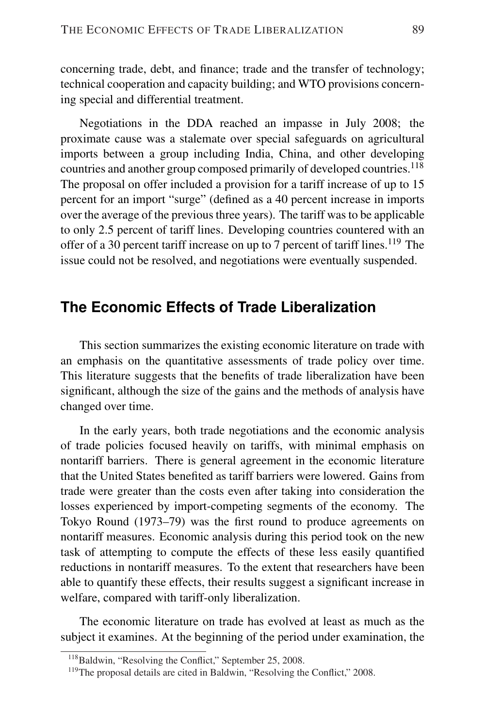concerning trade, debt, and finance; trade and the transfer of technology; technical cooperation and capacity building; and WTO provisions concerning special and differential treatment.

Negotiations in the DDA reached an impasse in July 2008; the proximate cause was a stalemate over special safeguards on agricultural imports between a group including India, China, and other developing countries and another group composed primarily of developed countries.<sup>118</sup> The proposal on offer included a provision for a tariff increase of up to 15 percent for an import "surge" (defined as a 40 percent increase in imports over the average of the previous three years). The tariff was to be applicable to only 2.5 percent of tariff lines. Developing countries countered with an offer of a 30 percent tariff increase on up to 7 percent of tariff lines.<sup>119</sup> The issue could not be resolved, and negotiations were eventually suspended.

## **The Economic Effects of Trade Liberalization**

This section summarizes the existing economic literature on trade with an emphasis on the quantitative assessments of trade policy over time. This literature suggests that the benefits of trade liberalization have been significant, although the size of the gains and the methods of analysis have changed over time.

In the early years, both trade negotiations and the economic analysis of trade policies focused heavily on tariffs, with minimal emphasis on nontariff barriers. There is general agreement in the economic literature that the United States benefited as tariff barriers were lowered. Gains from trade were greater than the costs even after taking into consideration the losses experienced by import-competing segments of the economy. The Tokyo Round (1973–79) was the first round to produce agreements on nontariff measures. Economic analysis during this period took on the new task of attempting to compute the effects of these less easily quantified reductions in nontariff measures. To the extent that researchers have been able to quantify these effects, their results suggest a significant increase in welfare, compared with tariff-only liberalization.

The economic literature on trade has evolved at least as much as the subject it examines. At the beginning of the period under examination, the

<sup>&</sup>lt;sup>118</sup>Baldwin, "Resolving the Conflict," September 25, 2008.

<sup>&</sup>lt;sup>119</sup>The proposal details are cited in Baldwin, "Resolving the Conflict," 2008.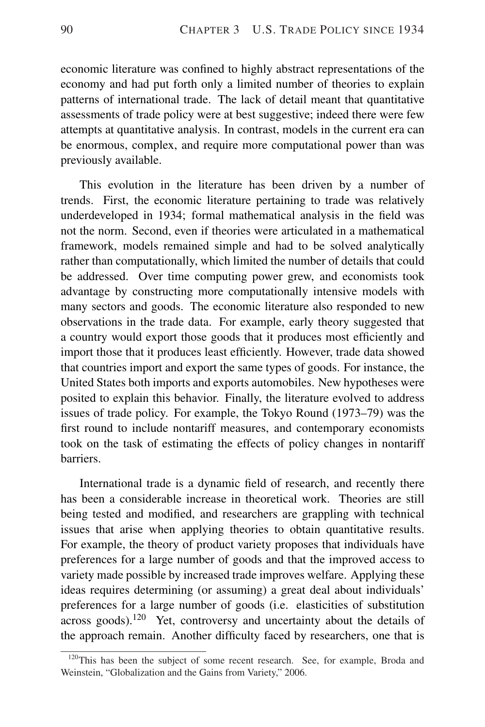economic literature was confined to highly abstract representations of the economy and had put forth only a limited number of theories to explain patterns of international trade. The lack of detail meant that quantitative assessments of trade policy were at best suggestive; indeed there were few attempts at quantitative analysis. In contrast, models in the current era can be enormous, complex, and require more computational power than was previously available.

This evolution in the literature has been driven by a number of trends. First, the economic literature pertaining to trade was relatively underdeveloped in 1934; formal mathematical analysis in the field was not the norm. Second, even if theories were articulated in a mathematical framework, models remained simple and had to be solved analytically rather than computationally, which limited the number of details that could be addressed. Over time computing power grew, and economists took advantage by constructing more computationally intensive models with many sectors and goods. The economic literature also responded to new observations in the trade data. For example, early theory suggested that a country would export those goods that it produces most efficiently and import those that it produces least efficiently. However, trade data showed that countries import and export the same types of goods. For instance, the United States both imports and exports automobiles. New hypotheses were posited to explain this behavior. Finally, the literature evolved to address issues of trade policy. For example, the Tokyo Round (1973–79) was the first round to include nontariff measures, and contemporary economists took on the task of estimating the effects of policy changes in nontariff barriers.

International trade is a dynamic field of research, and recently there has been a considerable increase in theoretical work. Theories are still being tested and modified, and researchers are grappling with technical issues that arise when applying theories to obtain quantitative results. For example, the theory of product variety proposes that individuals have preferences for a large number of goods and that the improved access to variety made possible by increased trade improves welfare. Applying these ideas requires determining (or assuming) a great deal about individuals' preferences for a large number of goods (i.e. elasticities of substitution across goods).<sup>120</sup> Yet, controversy and uncertainty about the details of the approach remain. Another difficulty faced by researchers, one that is

<sup>&</sup>lt;sup>120</sup>This has been the subject of some recent research. See, for example, Broda and Weinstein, "Globalization and the Gains from Variety," 2006.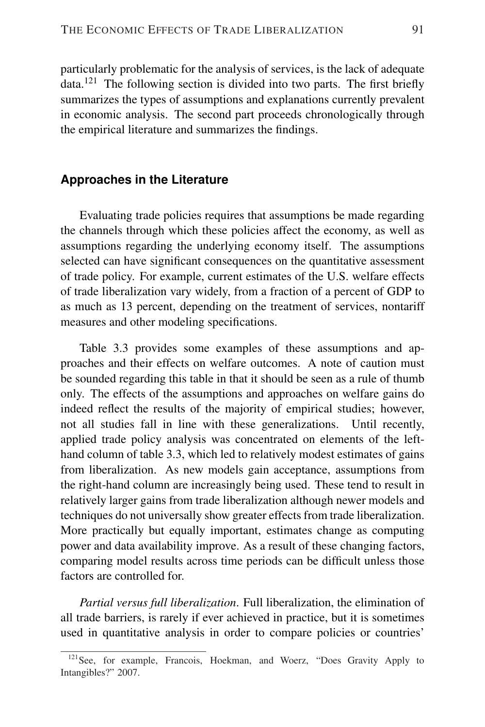particularly problematic for the analysis of services, is the lack of adequate data.<sup>121</sup> The following section is divided into two parts. The first briefly summarizes the types of assumptions and explanations currently prevalent in economic analysis. The second part proceeds chronologically through the empirical literature and summarizes the findings.

#### **Approaches in the Literature**

Evaluating trade policies requires that assumptions be made regarding the channels through which these policies affect the economy, as well as assumptions regarding the underlying economy itself. The assumptions selected can have significant consequences on the quantitative assessment of trade policy. For example, current estimates of the U.S. welfare effects of trade liberalization vary widely, from a fraction of a percent of GDP to as much as 13 percent, depending on the treatment of services, nontariff measures and other modeling specifications.

Table 3.3 provides some examples of these assumptions and approaches and their effects on welfare outcomes. A note of caution must be sounded regarding this table in that it should be seen as a rule of thumb only. The effects of the assumptions and approaches on welfare gains do indeed reflect the results of the majority of empirical studies; however, not all studies fall in line with these generalizations. Until recently, applied trade policy analysis was concentrated on elements of the lefthand column of table 3.3, which led to relatively modest estimates of gains from liberalization. As new models gain acceptance, assumptions from the right-hand column are increasingly being used. These tend to result in relatively larger gains from trade liberalization although newer models and techniques do not universally show greater effects from trade liberalization. More practically but equally important, estimates change as computing power and data availability improve. As a result of these changing factors, comparing model results across time periods can be difficult unless those factors are controlled for.

*Partial versus full liberalization*. Full liberalization, the elimination of all trade barriers, is rarely if ever achieved in practice, but it is sometimes used in quantitative analysis in order to compare policies or countries'

<sup>&</sup>lt;sup>121</sup>See, for example, Francois, Hoekman, and Woerz, "Does Gravity Apply to Intangibles?" 2007.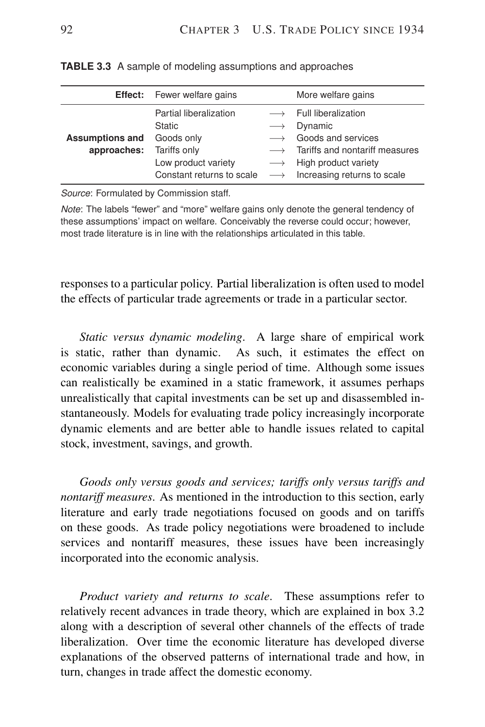|                                       | <b>Effect:</b> Fewer welfare gains                                                                                        |                                        | More welfare gains                                                                                                                                                                                                    |
|---------------------------------------|---------------------------------------------------------------------------------------------------------------------------|----------------------------------------|-----------------------------------------------------------------------------------------------------------------------------------------------------------------------------------------------------------------------|
| <b>Assumptions and</b><br>approaches: | Partial liberalization<br><b>Static</b><br>Goods only<br>Tariffs only<br>Low product variety<br>Constant returns to scale | $\longrightarrow$<br>$\longrightarrow$ | $\longrightarrow$ Full liberalization<br>Dynamic<br>Goods and services<br>$\longrightarrow$ Tariffs and nontariff measures<br>$\longrightarrow$ High product variety<br>$\longrightarrow$ Increasing returns to scale |

**TABLE 3.3** A sample of modeling assumptions and approaches

*Source*: Formulated by Commission staff.

*Note*: The labels "fewer" and "more" welfare gains only denote the general tendency of these assumptions' impact on welfare. Conceivably the reverse could occur; however, most trade literature is in line with the relationships articulated in this table.

responses to a particular policy. Partial liberalization is often used to model the effects of particular trade agreements or trade in a particular sector.

*Static versus dynamic modeling*. A large share of empirical work is static, rather than dynamic. As such, it estimates the effect on economic variables during a single period of time. Although some issues can realistically be examined in a static framework, it assumes perhaps unrealistically that capital investments can be set up and disassembled instantaneously. Models for evaluating trade policy increasingly incorporate dynamic elements and are better able to handle issues related to capital stock, investment, savings, and growth.

*Goods only versus goods and services; tariffs only versus tariffs and nontariff measures*. As mentioned in the introduction to this section, early literature and early trade negotiations focused on goods and on tariffs on these goods. As trade policy negotiations were broadened to include services and nontariff measures, these issues have been increasingly incorporated into the economic analysis.

*Product variety and returns to scale*. These assumptions refer to relatively recent advances in trade theory, which are explained in box 3.2 along with a description of several other channels of the effects of trade liberalization. Over time the economic literature has developed diverse explanations of the observed patterns of international trade and how, in turn, changes in trade affect the domestic economy.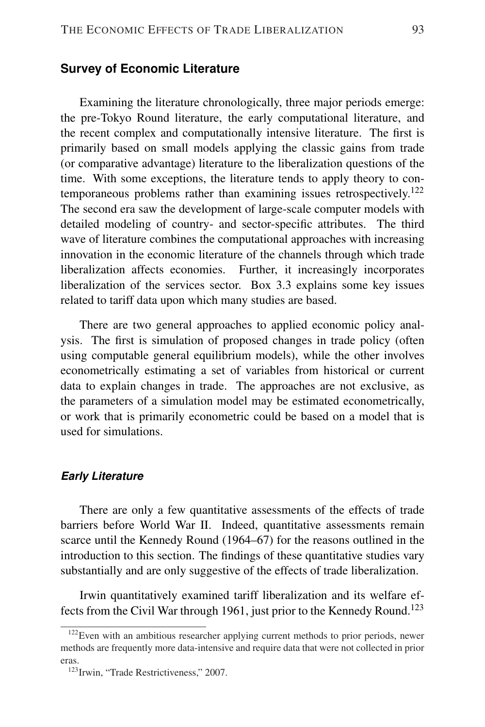#### **Survey of Economic Literature**

Examining the literature chronologically, three major periods emerge: the pre-Tokyo Round literature, the early computational literature, and the recent complex and computationally intensive literature. The first is primarily based on small models applying the classic gains from trade (or comparative advantage) literature to the liberalization questions of the time. With some exceptions, the literature tends to apply theory to contemporaneous problems rather than examining issues retrospectively.<sup>122</sup> The second era saw the development of large-scale computer models with detailed modeling of country- and sector-specific attributes. The third wave of literature combines the computational approaches with increasing innovation in the economic literature of the channels through which trade liberalization affects economies. Further, it increasingly incorporates liberalization of the services sector. Box 3.3 explains some key issues related to tariff data upon which many studies are based.

There are two general approaches to applied economic policy analysis. The first is simulation of proposed changes in trade policy (often using computable general equilibrium models), while the other involves econometrically estimating a set of variables from historical or current data to explain changes in trade. The approaches are not exclusive, as the parameters of a simulation model may be estimated econometrically, or work that is primarily econometric could be based on a model that is used for simulations.

#### *Early Literature*

There are only a few quantitative assessments of the effects of trade barriers before World War II. Indeed, quantitative assessments remain scarce until the Kennedy Round (1964–67) for the reasons outlined in the introduction to this section. The findings of these quantitative studies vary substantially and are only suggestive of the effects of trade liberalization.

Irwin quantitatively examined tariff liberalization and its welfare effects from the Civil War through 1961, just prior to the Kennedy Round.<sup>123</sup>

<sup>&</sup>lt;sup>122</sup>Even with an ambitious researcher applying current methods to prior periods, newer methods are frequently more data-intensive and require data that were not collected in prior eras.

<sup>&</sup>lt;sup>123</sup>Irwin, "Trade Restrictiveness," 2007.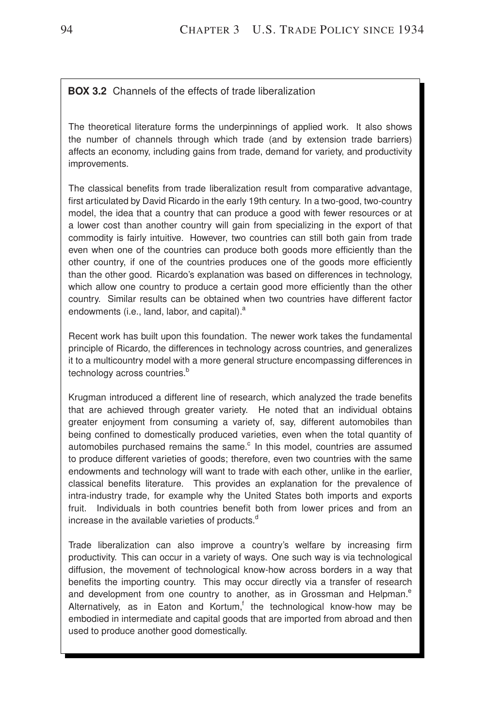#### **BOX 3.2** Channels of the effects of trade liberalization

The theoretical literature forms the underpinnings of applied work. It also shows the number of channels through which trade (and by extension trade barriers) affects an economy, including gains from trade, demand for variety, and productivity improvements.

The classical benefits from trade liberalization result from comparative advantage, first articulated by David Ricardo in the early 19th century. In a two-good, two-country model, the idea that a country that can produce a good with fewer resources or at a lower cost than another country will gain from specializing in the export of that commodity is fairly intuitive. However, two countries can still both gain from trade even when one of the countries can produce both goods more efficiently than the other country, if one of the countries produces one of the goods more efficiently than the other good. Ricardo's explanation was based on differences in technology, which allow one country to produce a certain good more efficiently than the other country. Similar results can be obtained when two countries have different factor endowments (i.e., land, labor, and capital).<sup>a</sup>

Recent work has built upon this foundation. The newer work takes the fundamental principle of Ricardo, the differences in technology across countries, and generalizes it to a multicountry model with a more general structure encompassing differences in technology across countries.<sup>b</sup>

Krugman introduced a different line of research, which analyzed the trade benefits that are achieved through greater variety. He noted that an individual obtains greater enjoyment from consuming a variety of, say, different automobiles than being confined to domestically produced varieties, even when the total quantity of automobiles purchased remains the same. $\textdegree$  In this model, countries are assumed to produce different varieties of goods; therefore, even two countries with the same endowments and technology will want to trade with each other, unlike in the earlier, classical benefits literature. This provides an explanation for the prevalence of intra-industry trade, for example why the United States both imports and exports fruit. Individuals in both countries benefit both from lower prices and from an increase in the available varieties of products.<sup>d</sup>

Trade liberalization can also improve a country's welfare by increasing firm productivity. This can occur in a variety of ways. One such way is via technological diffusion, the movement of technological know-how across borders in a way that benefits the importing country. This may occur directly via a transfer of research and development from one country to another, as in Grossman and Helpman.<sup>e</sup> Alternatively, as in Eaton and Kortum,<sup>f</sup> the technological know-how may be embodied in intermediate and capital goods that are imported from abroad and then used to produce another good domestically.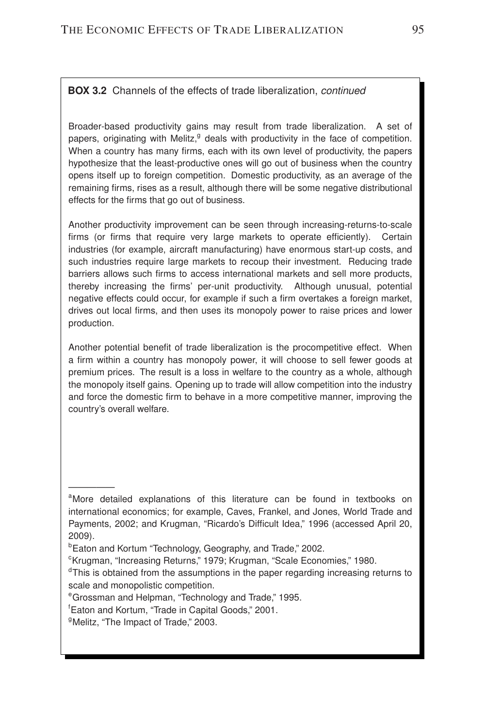#### **BOX 3.2** Channels of the effects of trade liberalization, *continued*

Broader-based productivity gains may result from trade liberalization. A set of papers, originating with Melitz,<sup>g</sup> deals with productivity in the face of competition. When a country has many firms, each with its own level of productivity, the papers hypothesize that the least-productive ones will go out of business when the country opens itself up to foreign competition. Domestic productivity, as an average of the remaining firms, rises as a result, although there will be some negative distributional effects for the firms that go out of business.

Another productivity improvement can be seen through increasing-returns-to-scale firms (or firms that require very large markets to operate efficiently). Certain industries (for example, aircraft manufacturing) have enormous start-up costs, and such industries require large markets to recoup their investment. Reducing trade barriers allows such firms to access international markets and sell more products, thereby increasing the firms' per-unit productivity. Although unusual, potential negative effects could occur, for example if such a firm overtakes a foreign market, drives out local firms, and then uses its monopoly power to raise prices and lower production.

Another potential benefit of trade liberalization is the procompetitive effect. When a firm within a country has monopoly power, it will choose to sell fewer goods at premium prices. The result is a loss in welfare to the country as a whole, although the monopoly itself gains. Opening up to trade will allow competition into the industry and force the domestic firm to behave in a more competitive manner, improving the country's overall welfare.

—————

<sup>&</sup>lt;sup>a</sup>More detailed explanations of this literature can be found in textbooks on international economics; for example, Caves, Frankel, and Jones, World Trade and Payments, 2002; and Krugman, "Ricardo's Difficult Idea," 1996 (accessed April 20, 2009).

<sup>&</sup>lt;sup>b</sup>Eaton and Kortum "Technology, Geography, and Trade," 2002.

<sup>&</sup>lt;sup>c</sup>Krugman, "Increasing Returns," 1979; Krugman, "Scale Economies," 1980.

<sup>&</sup>lt;sup>d</sup>This is obtained from the assumptions in the paper regarding increasing returns to scale and monopolistic competition.

<sup>e</sup>Grossman and Helpman, "Technology and Trade," 1995.

<sup>f</sup>Eaton and Kortum, "Trade in Capital Goods," 2001.

<sup>&</sup>lt;sup>9</sup>Melitz, "The Impact of Trade," 2003.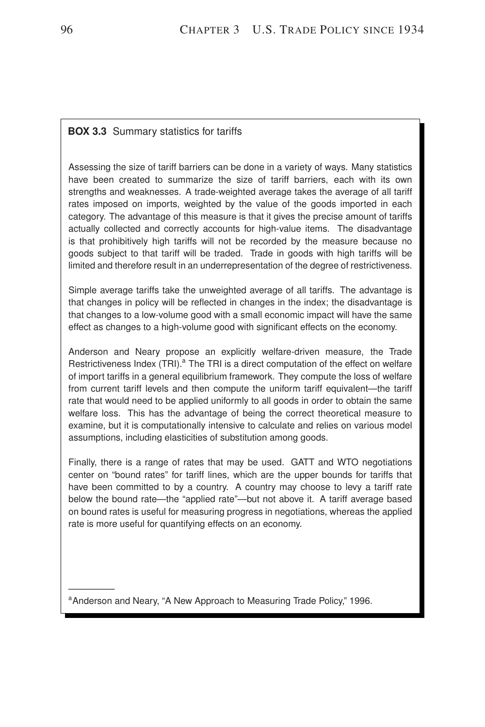#### **BOX 3.3** Summary statistics for tariffs

Assessing the size of tariff barriers can be done in a variety of ways. Many statistics have been created to summarize the size of tariff barriers, each with its own strengths and weaknesses. A trade-weighted average takes the average of all tariff rates imposed on imports, weighted by the value of the goods imported in each category. The advantage of this measure is that it gives the precise amount of tariffs actually collected and correctly accounts for high-value items. The disadvantage is that prohibitively high tariffs will not be recorded by the measure because no goods subject to that tariff will be traded. Trade in goods with high tariffs will be limited and therefore result in an underrepresentation of the degree of restrictiveness.

Simple average tariffs take the unweighted average of all tariffs. The advantage is that changes in policy will be reflected in changes in the index; the disadvantage is that changes to a low-volume good with a small economic impact will have the same effect as changes to a high-volume good with significant effects on the economy.

Anderson and Neary propose an explicitly welfare-driven measure, the Trade Restrictiveness Index (TRI).<sup>a</sup> The TRI is a direct computation of the effect on welfare of import tariffs in a general equilibrium framework. They compute the loss of welfare from current tariff levels and then compute the uniform tariff equivalent—the tariff rate that would need to be applied uniformly to all goods in order to obtain the same welfare loss. This has the advantage of being the correct theoretical measure to examine, but it is computationally intensive to calculate and relies on various model assumptions, including elasticities of substitution among goods.

Finally, there is a range of rates that may be used. GATT and WTO negotiations center on "bound rates" for tariff lines, which are the upper bounds for tariffs that have been committed to by a country. A country may choose to levy a tariff rate below the bound rate—the "applied rate"—but not above it. A tariff average based on bound rates is useful for measuring progress in negotiations, whereas the applied rate is more useful for quantifying effects on an economy.

<sup>a</sup> Anderson and Neary, "A New Approach to Measuring Trade Policy," 1996.

—————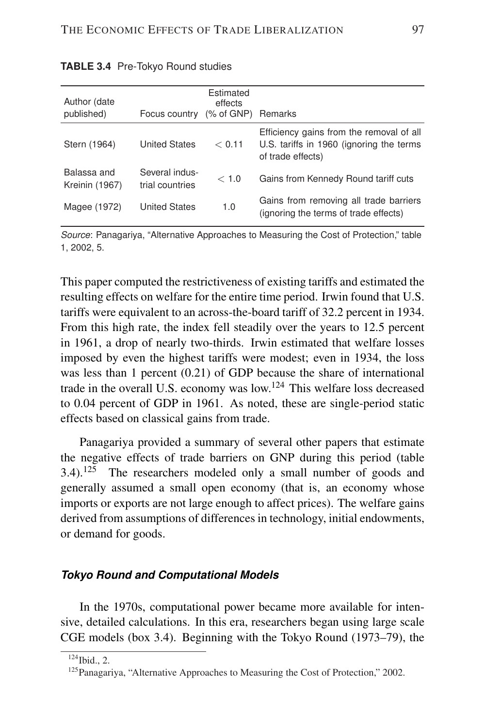| Author (date<br>published)    | Focus country (% of GNP) Remarks  | Estimated<br>effects |                                                                                                           |
|-------------------------------|-----------------------------------|----------------------|-----------------------------------------------------------------------------------------------------------|
| Stern (1964)                  | <b>United States</b>              | < 0.11               | Efficiency gains from the removal of all<br>U.S. tariffs in 1960 (ignoring the terms<br>of trade effects) |
| Balassa and<br>Kreinin (1967) | Several indus-<br>trial countries | < 1.0                | Gains from Kennedy Round tariff cuts                                                                      |
| Magee (1972)                  | <b>United States</b>              | 1.0                  | Gains from removing all trade barriers<br>(ignoring the terms of trade effects)                           |

| <b>TABLE 3.4</b> Pre-Tokyo Round studies |  |
|------------------------------------------|--|
|------------------------------------------|--|

*Source*: Panagariya, "Alternative Approaches to Measuring the Cost of Protection," table 1, 2002, 5.

This paper computed the restrictiveness of existing tariffs and estimated the resulting effects on welfare for the entire time period. Irwin found that U.S. tariffs were equivalent to an across-the-board tariff of 32.2 percent in 1934. From this high rate, the index fell steadily over the years to 12.5 percent in 1961, a drop of nearly two-thirds. Irwin estimated that welfare losses imposed by even the highest tariffs were modest; even in 1934, the loss was less than 1 percent (0.21) of GDP because the share of international trade in the overall U.S. economy was low.<sup>124</sup> This welfare loss decreased to 0.04 percent of GDP in 1961. As noted, these are single-period static effects based on classical gains from trade.

Panagariya provided a summary of several other papers that estimate the negative effects of trade barriers on GNP during this period (table 3.4).<sup>125</sup> The researchers modeled only a small number of goods and generally assumed a small open economy (that is, an economy whose imports or exports are not large enough to affect prices). The welfare gains derived from assumptions of differences in technology, initial endowments, or demand for goods.

#### *Tokyo Round and Computational Models*

In the 1970s, computational power became more available for intensive, detailed calculations. In this era, researchers began using large scale CGE models (box 3.4). Beginning with the Tokyo Round (1973–79), the

 $124$  Ibid., 2.

<sup>&</sup>lt;sup>125</sup> Panagariya, "Alternative Approaches to Measuring the Cost of Protection," 2002.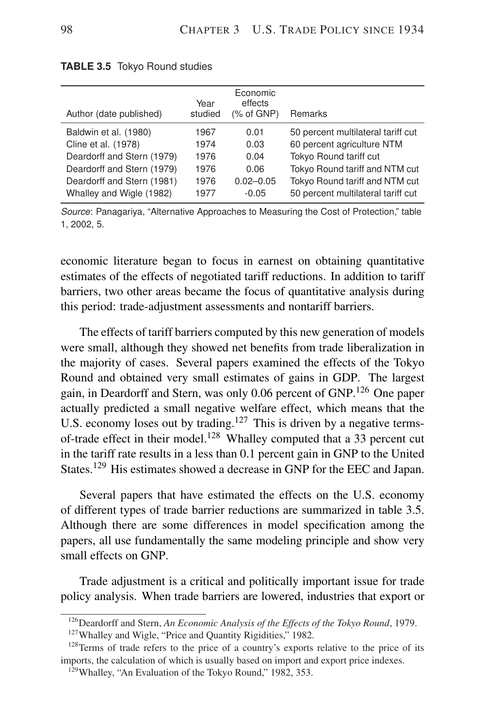| Author (date published)    | Year<br>studied | Economic<br>effects<br>$%$ of GNP) | Remarks                            |
|----------------------------|-----------------|------------------------------------|------------------------------------|
| Baldwin et al. (1980)      | 1967            | 0.01                               | 50 percent multilateral tariff cut |
| Cline et al. (1978)        | 1974            | 0.03                               | 60 percent agriculture NTM         |
| Deardorff and Stern (1979) | 1976            | 0.04                               | Tokyo Round tariff cut             |
| Deardorff and Stern (1979) | 1976            | 0.06                               | Tokyo Round tariff and NTM cut     |
| Deardorff and Stern (1981) | 1976            | $0.02 - 0.05$                      | Tokyo Round tariff and NTM cut     |
| Whalley and Wigle (1982)   | 1977            | $-0.05$                            | 50 percent multilateral tariff cut |

| <b>TABLE 3.5</b> Tokyo Round studies |  |  |  |
|--------------------------------------|--|--|--|
|--------------------------------------|--|--|--|

*Source*: Panagariya, "Alternative Approaches to Measuring the Cost of Protection," table 1, 2002, 5.

economic literature began to focus in earnest on obtaining quantitative estimates of the effects of negotiated tariff reductions. In addition to tariff barriers, two other areas became the focus of quantitative analysis during this period: trade-adjustment assessments and nontariff barriers.

The effects of tariff barriers computed by this new generation of models were small, although they showed net benefits from trade liberalization in the majority of cases. Several papers examined the effects of the Tokyo Round and obtained very small estimates of gains in GDP. The largest gain, in Deardorff and Stern, was only 0.06 percent of GNP.<sup>126</sup> One paper actually predicted a small negative welfare effect, which means that the U.S. economy loses out by trading.<sup>127</sup> This is driven by a negative termsof-trade effect in their model.<sup>128</sup> Whalley computed that a 33 percent cut in the tariff rate results in a less than 0.1 percent gain in GNP to the United States.<sup>129</sup> His estimates showed a decrease in GNP for the EEC and Japan.

Several papers that have estimated the effects on the U.S. economy of different types of trade barrier reductions are summarized in table 3.5. Although there are some differences in model specification among the papers, all use fundamentally the same modeling principle and show very small effects on GNP.

Trade adjustment is a critical and politically important issue for trade policy analysis. When trade barriers are lowered, industries that export or

<sup>126</sup>Deardorff and Stern, *An Economic Analysis of the Effects of the Tokyo Round*, 1979.

<sup>&</sup>lt;sup>127</sup> Whalley and Wigle, "Price and Quantity Rigidities," 1982.

<sup>&</sup>lt;sup>128</sup>Terms of trade refers to the price of a country's exports relative to the price of its imports, the calculation of which is usually based on import and export price indexes.

<sup>&</sup>lt;sup>129</sup>Whalley, "An Evaluation of the Tokyo Round," 1982, 353.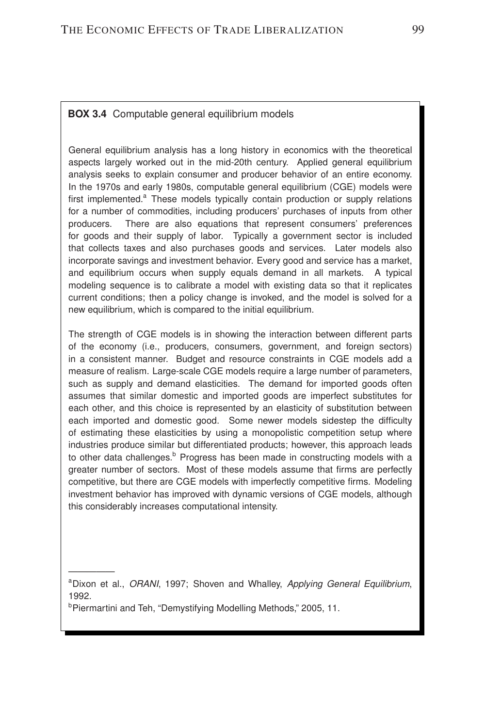#### **BOX 3.4** Computable general equilibrium models

General equilibrium analysis has a long history in economics with the theoretical aspects largely worked out in the mid-20th century. Applied general equilibrium analysis seeks to explain consumer and producer behavior of an entire economy. In the 1970s and early 1980s, computable general equilibrium (CGE) models were first implemented.<sup>a</sup> These models typically contain production or supply relations for a number of commodities, including producers' purchases of inputs from other producers. There are also equations that represent consumers' preferences for goods and their supply of labor. Typically a government sector is included that collects taxes and also purchases goods and services. Later models also incorporate savings and investment behavior. Every good and service has a market, and equilibrium occurs when supply equals demand in all markets. A typical modeling sequence is to calibrate a model with existing data so that it replicates current conditions; then a policy change is invoked, and the model is solved for a new equilibrium, which is compared to the initial equilibrium.

The strength of CGE models is in showing the interaction between different parts of the economy (i.e., producers, consumers, government, and foreign sectors) in a consistent manner. Budget and resource constraints in CGE models add a measure of realism. Large-scale CGE models require a large number of parameters, such as supply and demand elasticities. The demand for imported goods often assumes that similar domestic and imported goods are imperfect substitutes for each other, and this choice is represented by an elasticity of substitution between each imported and domestic good. Some newer models sidestep the difficulty of estimating these elasticities by using a monopolistic competition setup where industries produce similar but differentiated products; however, this approach leads to other data challenges.<sup>b</sup> Progress has been made in constructing models with a greater number of sectors. Most of these models assume that firms are perfectly competitive, but there are CGE models with imperfectly competitive firms. Modeling investment behavior has improved with dynamic versions of CGE models, although this considerably increases computational intensity.

—————

<sup>a</sup>Dixon et al., *ORANI*, 1997; Shoven and Whalley, *Applying General Equilibrium*, 1992.

<sup>&</sup>lt;sup>b</sup>Piermartini and Teh, "Demystifying Modelling Methods," 2005, 11.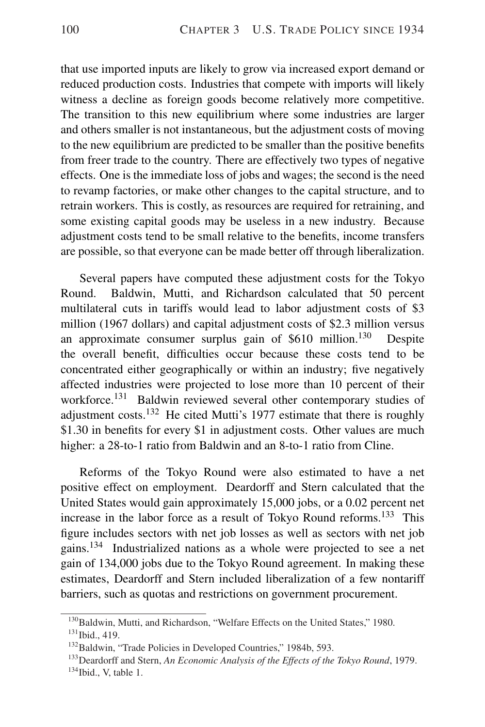that use imported inputs are likely to grow via increased export demand or reduced production costs. Industries that compete with imports will likely witness a decline as foreign goods become relatively more competitive. The transition to this new equilibrium where some industries are larger and others smaller is not instantaneous, but the adjustment costs of moving to the new equilibrium are predicted to be smaller than the positive benefits from freer trade to the country. There are effectively two types of negative effects. One is the immediate loss of jobs and wages; the second is the need to revamp factories, or make other changes to the capital structure, and to retrain workers. This is costly, as resources are required for retraining, and some existing capital goods may be useless in a new industry. Because adjustment costs tend to be small relative to the benefits, income transfers are possible, so that everyone can be made better off through liberalization.

Several papers have computed these adjustment costs for the Tokyo Round. Baldwin, Mutti, and Richardson calculated that 50 percent multilateral cuts in tariffs would lead to labor adjustment costs of \$3 million (1967 dollars) and capital adjustment costs of \$2.3 million versus an approximate consumer surplus gain of  $$610$  million.<sup>130</sup> Despite the overall benefit, difficulties occur because these costs tend to be concentrated either geographically or within an industry; five negatively affected industries were projected to lose more than 10 percent of their workforce.<sup>131</sup> Baldwin reviewed several other contemporary studies of adjustment costs.<sup>132</sup> He cited Mutti's 1977 estimate that there is roughly \$1.30 in benefits for every \$1 in adjustment costs. Other values are much higher: a 28-to-1 ratio from Baldwin and an 8-to-1 ratio from Cline.

Reforms of the Tokyo Round were also estimated to have a net positive effect on employment. Deardorff and Stern calculated that the United States would gain approximately 15,000 jobs, or a 0.02 percent net increase in the labor force as a result of Tokyo Round reforms.<sup>133</sup> This figure includes sectors with net job losses as well as sectors with net job gains.<sup>134</sup> Industrialized nations as a whole were projected to see a net gain of 134,000 jobs due to the Tokyo Round agreement. In making these estimates, Deardorff and Stern included liberalization of a few nontariff barriers, such as quotas and restrictions on government procurement.

<sup>&</sup>lt;sup>130</sup>Baldwin, Mutti, and Richardson, "Welfare Effects on the United States," 1980.

 $131$  Ibid., 419.

<sup>&</sup>lt;sup>132</sup>Baldwin, "Trade Policies in Developed Countries," 1984b, 593.

<sup>133</sup>Deardorff and Stern, *An Economic Analysis of the Effects of the Tokyo Round*, 1979.  $134$ Ibid., V, table 1.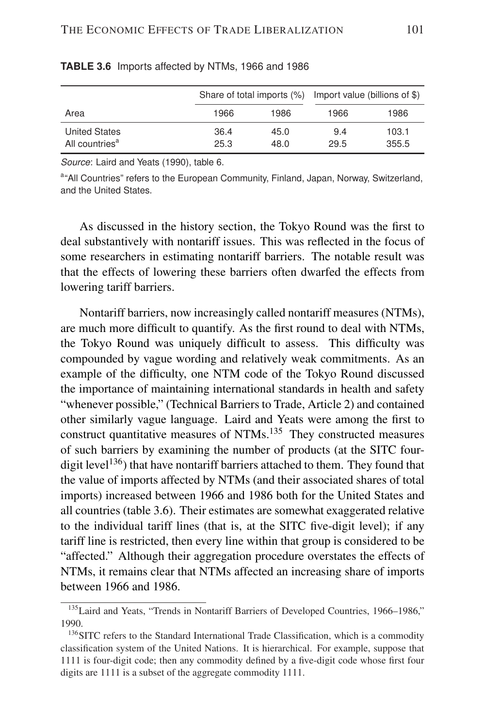|                            |      | Share of total imports $(\%)$ Import value (billions of \$) |      |       |
|----------------------------|------|-------------------------------------------------------------|------|-------|
| Area                       | 1966 | 1986                                                        | 1966 | 1986  |
| <b>United States</b>       | 36.4 | 45.0                                                        | 9.4  | 103.1 |
| All countries <sup>a</sup> | 25.3 | 48.0                                                        | 29.5 | 355.5 |

#### **TABLE 3.6** Imports affected by NTMs, 1966 and 1986

*Source*: Laird and Yeats (1990), table 6.

a"All Countries" refers to the European Community, Finland, Japan, Norway, Switzerland, and the United States.

As discussed in the history section, the Tokyo Round was the first to deal substantively with nontariff issues. This was reflected in the focus of some researchers in estimating nontariff barriers. The notable result was that the effects of lowering these barriers often dwarfed the effects from lowering tariff barriers.

Nontariff barriers, now increasingly called nontariff measures (NTMs), are much more difficult to quantify. As the first round to deal with NTMs, the Tokyo Round was uniquely difficult to assess. This difficulty was compounded by vague wording and relatively weak commitments. As an example of the difficulty, one NTM code of the Tokyo Round discussed the importance of maintaining international standards in health and safety "whenever possible," (Technical Barriers to Trade, Article 2) and contained other similarly vague language. Laird and Yeats were among the first to construct quantitative measures of NTMs.<sup>135</sup> They constructed measures of such barriers by examining the number of products (at the SITC fourdigit level<sup>136</sup>) that have nontariff barriers attached to them. They found that the value of imports affected by NTMs (and their associated shares of total imports) increased between 1966 and 1986 both for the United States and all countries (table 3.6). Their estimates are somewhat exaggerated relative to the individual tariff lines (that is, at the SITC five-digit level); if any tariff line is restricted, then every line within that group is considered to be "affected." Although their aggregation procedure overstates the effects of NTMs, it remains clear that NTMs affected an increasing share of imports between 1966 and 1986.

<sup>&</sup>lt;sup>135</sup>Laird and Yeats, "Trends in Nontariff Barriers of Developed Countries, 1966–1986," 1990.

<sup>&</sup>lt;sup>136</sup>SITC refers to the Standard International Trade Classification, which is a commodity classification system of the United Nations. It is hierarchical. For example, suppose that 1111 is four-digit code; then any commodity defined by a five-digit code whose first four digits are 1111 is a subset of the aggregate commodity 1111.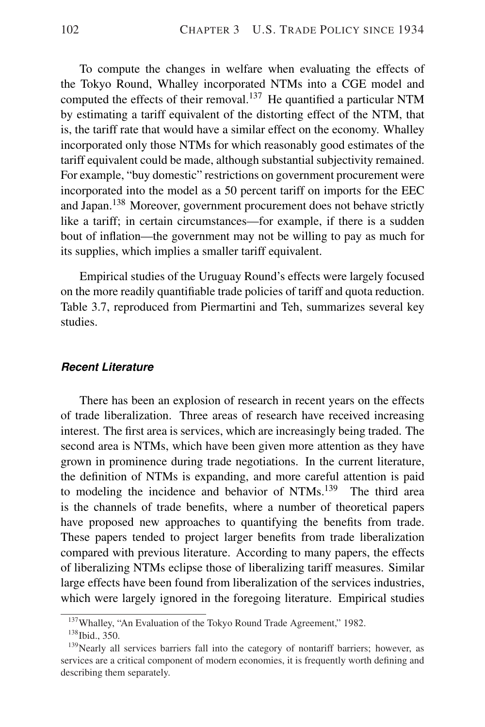To compute the changes in welfare when evaluating the effects of the Tokyo Round, Whalley incorporated NTMs into a CGE model and computed the effects of their removal.<sup>137</sup> He quantified a particular NTM by estimating a tariff equivalent of the distorting effect of the NTM, that is, the tariff rate that would have a similar effect on the economy. Whalley incorporated only those NTMs for which reasonably good estimates of the tariff equivalent could be made, although substantial subjectivity remained. For example, "buy domestic" restrictions on government procurement were incorporated into the model as a 50 percent tariff on imports for the EEC and Japan.<sup>138</sup> Moreover, government procurement does not behave strictly like a tariff; in certain circumstances—for example, if there is a sudden bout of inflation—the government may not be willing to pay as much for its supplies, which implies a smaller tariff equivalent.

Empirical studies of the Uruguay Round's effects were largely focused on the more readily quantifiable trade policies of tariff and quota reduction. Table 3.7, reproduced from Piermartini and Teh, summarizes several key studies.

#### *Recent Literature*

There has been an explosion of research in recent years on the effects of trade liberalization. Three areas of research have received increasing interest. The first area is services, which are increasingly being traded. The second area is NTMs, which have been given more attention as they have grown in prominence during trade negotiations. In the current literature, the definition of NTMs is expanding, and more careful attention is paid to modeling the incidence and behavior of NTMs.<sup>139</sup> The third area is the channels of trade benefits, where a number of theoretical papers have proposed new approaches to quantifying the benefits from trade. These papers tended to project larger benefits from trade liberalization compared with previous literature. According to many papers, the effects of liberalizing NTMs eclipse those of liberalizing tariff measures. Similar large effects have been found from liberalization of the services industries, which were largely ignored in the foregoing literature. Empirical studies

<sup>137</sup>Whalley, "An Evaluation of the Tokyo Round Trade Agreement," 1982.

<sup>&</sup>lt;sup>138</sup> Ibid., 350.

 $139$ Nearly all services barriers fall into the category of nontariff barriers; however, as services are a critical component of modern economies, it is frequently worth defining and describing them separately.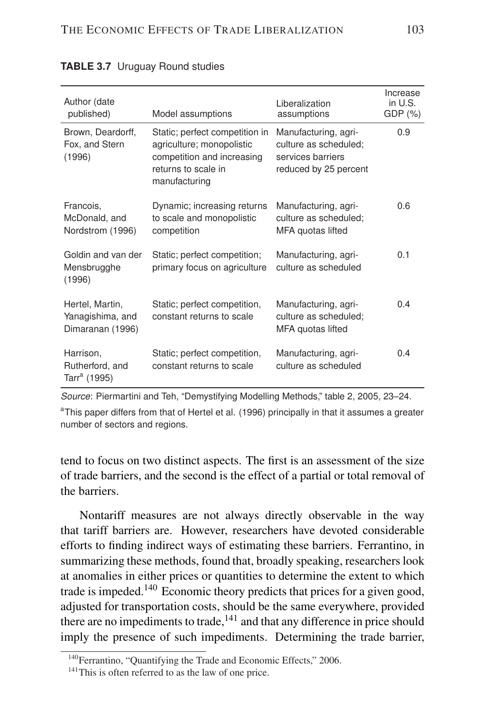| Author (date<br>published)                               | Model assumptions                                                                                                                 | Liberalization<br>assumptions                                                               | Increase<br>in U.S.<br>$GDP(\%)$ |
|----------------------------------------------------------|-----------------------------------------------------------------------------------------------------------------------------------|---------------------------------------------------------------------------------------------|----------------------------------|
| Brown, Deardorff,<br>Fox, and Stern<br>(1996)            | Static; perfect competition in<br>agriculture; monopolistic<br>competition and increasing<br>returns to scale in<br>manufacturing | Manufacturing, agri-<br>culture as scheduled;<br>services barriers<br>reduced by 25 percent | 0.9                              |
| Francois,<br>McDonald, and<br>Nordstrom (1996)           | Dynamic; increasing returns<br>to scale and monopolistic<br>competition                                                           | Manufacturing, agri-<br>culture as scheduled;<br>MFA quotas lifted                          | 0.6                              |
| Goldin and van der<br>Mensbrugghe<br>(1996)              | Static; perfect competition;<br>primary focus on agriculture                                                                      | Manufacturing, agri-<br>culture as scheduled                                                | 0.1                              |
| Hertel, Martin,<br>Yanagishima, and<br>Dimaranan (1996)  | Static; perfect competition,<br>constant returns to scale                                                                         | Manufacturing, agri-<br>culture as scheduled:<br>MFA quotas lifted                          | 0.4                              |
| Harrison,<br>Rutherford, and<br>Tarr <sup>a</sup> (1995) | Static; perfect competition,<br>constant returns to scale                                                                         | Manufacturing, agri-<br>culture as scheduled                                                | 0.4                              |

#### **TABLE 3.7** Uruguay Round studies

*Source*: Piermartini and Teh, "Demystifying Modelling Methods," table 2, 2005, 23–24.

<sup>a</sup>This paper differs from that of Hertel et al. (1996) principally in that it assumes a greater number of sectors and regions.

tend to focus on two distinct aspects. The first is an assessment of the size of trade barriers, and the second is the effect of a partial or total removal of the barriers.

Nontariff measures are not always directly observable in the way that tariff barriers are. However, researchers have devoted considerable efforts to finding indirect ways of estimating these barriers. Ferrantino, in summarizing these methods, found that, broadly speaking, researchers look at anomalies in either prices or quantities to determine the extent to which trade is impeded.<sup>140</sup> Economic theory predicts that prices for a given good, adjusted for transportation costs, should be the same everywhere, provided there are no impediments to trade, $^{141}$  and that any difference in price should imply the presence of such impediments. Determining the trade barrier,

<sup>&</sup>lt;sup>140</sup>Ferrantino, "Quantifying the Trade and Economic Effects," 2006.

<sup>&</sup>lt;sup>141</sup>This is often referred to as the law of one price.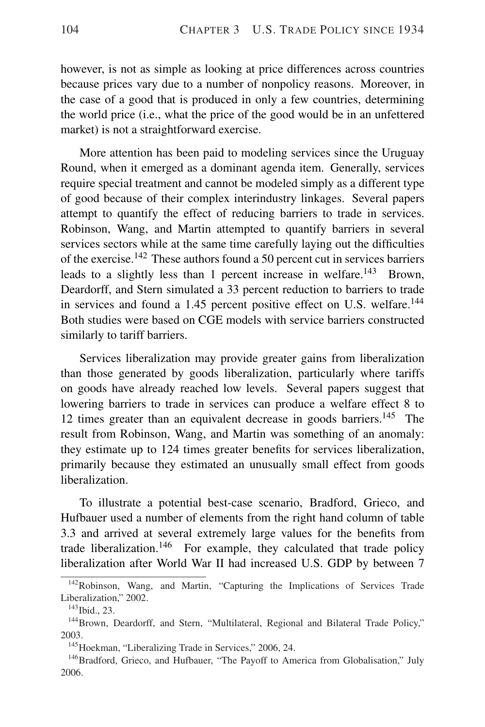however, is not as simple as looking at price differences across countries because prices vary due to a number of nonpolicy reasons. Moreover, in the case of a good that is produced in only a few countries, determining the world price (i.e., what the price of the good would be in an unfettered market) is not a straightforward exercise.

More attention has been paid to modeling services since the Uruguay Round, when it emerged as a dominant agenda item. Generally, services require special treatment and cannot be modeled simply as a different type of good because of their complex interindustry linkages. Several papers attempt to quantify the effect of reducing barriers to trade in services. Robinson, Wang, and Martin attempted to quantify barriers in several services sectors while at the same time carefully laying out the difficulties of the exercise.<sup>142</sup> These authors found a 50 percent cut in services barriers leads to a slightly less than 1 percent increase in welfare.<sup>143</sup> Brown, Deardorff, and Stern simulated a 33 percent reduction to barriers to trade in services and found a 1.45 percent positive effect on U.S. welfare.<sup>144</sup> Both studies were based on CGE models with service barriers constructed similarly to tariff barriers.

Services liberalization may provide greater gains from liberalization than those generated by goods liberalization, particularly where tariffs on goods have already reached low levels. Several papers suggest that lowering barriers to trade in services can produce a welfare effect 8 to 12 times greater than an equivalent decrease in goods barriers.<sup>145</sup> The result from Robinson, Wang, and Martin was something of an anomaly: they estimate up to 124 times greater benefits for services liberalization, primarily because they estimated an unusually small effect from goods liberalization.

To illustrate a potential best-case scenario, Bradford, Grieco, and Hufbauer used a number of elements from the right hand column of table 3.3 and arrived at several extremely large values for the benefits from trade liberalization.<sup>146</sup> For example, they calculated that trade policy liberalization after World War II had increased U.S. GDP by between 7

<sup>&</sup>lt;sup>142</sup>Robinson, Wang, and Martin, "Capturing the Implications of Services Trade Liberalization," 2002.

<sup>&</sup>lt;sup>143</sup>Ibid., 23.

<sup>&</sup>lt;sup>144</sup>Brown, Deardorff, and Stern, "Multilateral, Regional and Bilateral Trade Policy," 2003.

<sup>&</sup>lt;sup>145</sup>Hoekman, "Liberalizing Trade in Services," 2006, 24.

<sup>&</sup>lt;sup>146</sup>Bradford, Grieco, and Hufbauer, "The Payoff to America from Globalisation," July 2006.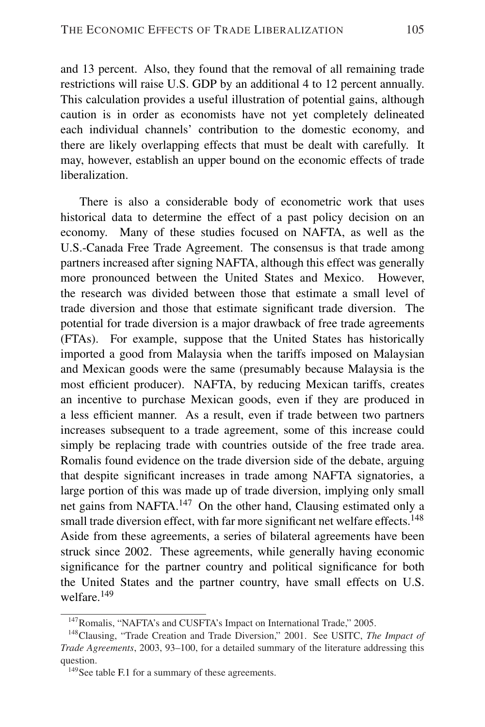and 13 percent. Also, they found that the removal of all remaining trade restrictions will raise U.S. GDP by an additional 4 to 12 percent annually. This calculation provides a useful illustration of potential gains, although caution is in order as economists have not yet completely delineated each individual channels' contribution to the domestic economy, and there are likely overlapping effects that must be dealt with carefully. It may, however, establish an upper bound on the economic effects of trade liberalization.

There is also a considerable body of econometric work that uses historical data to determine the effect of a past policy decision on an economy. Many of these studies focused on NAFTA, as well as the U.S.-Canada Free Trade Agreement. The consensus is that trade among partners increased after signing NAFTA, although this effect was generally more pronounced between the United States and Mexico. However, the research was divided between those that estimate a small level of trade diversion and those that estimate significant trade diversion. The potential for trade diversion is a major drawback of free trade agreements (FTAs). For example, suppose that the United States has historically imported a good from Malaysia when the tariffs imposed on Malaysian and Mexican goods were the same (presumably because Malaysia is the most efficient producer). NAFTA, by reducing Mexican tariffs, creates an incentive to purchase Mexican goods, even if they are produced in a less efficient manner. As a result, even if trade between two partners increases subsequent to a trade agreement, some of this increase could simply be replacing trade with countries outside of the free trade area. Romalis found evidence on the trade diversion side of the debate, arguing that despite significant increases in trade among NAFTA signatories, a large portion of this was made up of trade diversion, implying only small net gains from NAFTA.<sup>147</sup> On the other hand, Clausing estimated only a small trade diversion effect, with far more significant net welfare effects.<sup>148</sup> Aside from these agreements, a series of bilateral agreements have been struck since 2002. These agreements, while generally having economic significance for the partner country and political significance for both the United States and the partner country, have small effects on U.S. welfare.<sup>149</sup>

<sup>&</sup>lt;sup>147</sup>Romalis, "NAFTA's and CUSFTA's Impact on International Trade," 2005.

<sup>148</sup>Clausing, "Trade Creation and Trade Diversion," 2001. See USITC, *The Impact of Trade Agreements*, 2003, 93–100, for a detailed summary of the literature addressing this question.

<sup>&</sup>lt;sup>149</sup>See table F.1 for a summary of these agreements.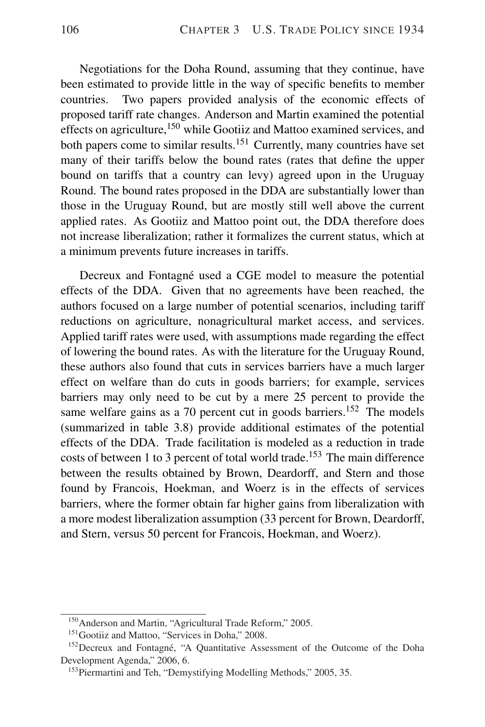Negotiations for the Doha Round, assuming that they continue, have been estimated to provide little in the way of specific benefits to member countries. Two papers provided analysis of the economic effects of proposed tariff rate changes. Anderson and Martin examined the potential effects on agriculture,<sup>150</sup> while Gootiiz and Mattoo examined services, and both papers come to similar results.<sup>151</sup> Currently, many countries have set many of their tariffs below the bound rates (rates that define the upper bound on tariffs that a country can levy) agreed upon in the Uruguay Round. The bound rates proposed in the DDA are substantially lower than those in the Uruguay Round, but are mostly still well above the current applied rates. As Gootiiz and Mattoo point out, the DDA therefore does not increase liberalization; rather it formalizes the current status, which at a minimum prevents future increases in tariffs.

Decreux and Fontagné used a CGE model to measure the potential effects of the DDA. Given that no agreements have been reached, the authors focused on a large number of potential scenarios, including tariff reductions on agriculture, nonagricultural market access, and services. Applied tariff rates were used, with assumptions made regarding the effect of lowering the bound rates. As with the literature for the Uruguay Round, these authors also found that cuts in services barriers have a much larger effect on welfare than do cuts in goods barriers; for example, services barriers may only need to be cut by a mere 25 percent to provide the same welfare gains as a 70 percent cut in goods barriers.<sup>152</sup> The models (summarized in table 3.8) provide additional estimates of the potential effects of the DDA. Trade facilitation is modeled as a reduction in trade costs of between 1 to 3 percent of total world trade.<sup>153</sup> The main difference between the results obtained by Brown, Deardorff, and Stern and those found by Francois, Hoekman, and Woerz is in the effects of services barriers, where the former obtain far higher gains from liberalization with a more modest liberalization assumption (33 percent for Brown, Deardorff, and Stern, versus 50 percent for Francois, Hoekman, and Woerz).

<sup>&</sup>lt;sup>150</sup> Anderson and Martin, "Agricultural Trade Reform," 2005.

<sup>&</sup>lt;sup>151</sup>Gootiiz and Mattoo, "Services in Doha," 2008.

 $152$  Decreux and Fontagné, "A Quantitative Assessment of the Outcome of the Doha Development Agenda," 2006, 6.

<sup>&</sup>lt;sup>153</sup>Piermartini and Teh, "Demystifying Modelling Methods," 2005, 35.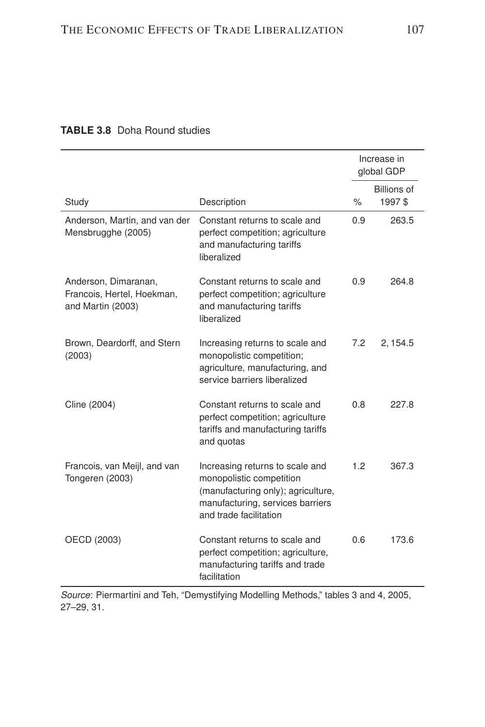|                                                                         |                                                                                                                                                                 |      | Increase in<br>global GDP    |
|-------------------------------------------------------------------------|-----------------------------------------------------------------------------------------------------------------------------------------------------------------|------|------------------------------|
| Study                                                                   | Description                                                                                                                                                     | $\%$ | <b>Billions of</b><br>1997\$ |
| Anderson, Martin, and van der<br>Mensbrugghe (2005)                     | Constant returns to scale and<br>perfect competition; agriculture<br>and manufacturing tariffs<br>liberalized                                                   | 0.9  | 263.5                        |
| Anderson, Dimaranan,<br>Francois, Hertel, Hoekman,<br>and Martin (2003) | Constant returns to scale and<br>perfect competition; agriculture<br>and manufacturing tariffs<br>liberalized                                                   | 0.9  | 264.8                        |
| Brown, Deardorff, and Stern<br>(2003)                                   | Increasing returns to scale and<br>monopolistic competition;<br>agriculture, manufacturing, and<br>service barriers liberalized                                 | 7.2  | 2, 154.5                     |
| Cline (2004)                                                            | Constant returns to scale and<br>perfect competition; agriculture<br>tariffs and manufacturing tariffs<br>and quotas                                            | 0.8  | 227.8                        |
| Francois, van Meijl, and van<br>Tongeren (2003)                         | Increasing returns to scale and<br>monopolistic competition<br>(manufacturing only); agriculture,<br>manufacturing, services barriers<br>and trade facilitation | 1.2  | 367.3                        |
| OECD (2003)                                                             | Constant returns to scale and<br>perfect competition; agriculture,<br>manufacturing tariffs and trade<br>facilitation                                           | 0.6  | 173.6                        |

#### **TABLE 3.8** Doha Round studies

*Source*: Piermartini and Teh, "Demystifying Modelling Methods," tables 3 and 4, 2005, 27–29, 31.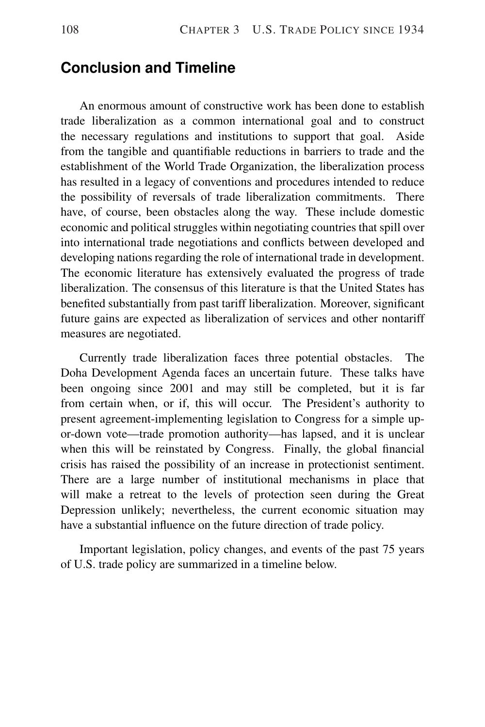## **Conclusion and Timeline**

An enormous amount of constructive work has been done to establish trade liberalization as a common international goal and to construct the necessary regulations and institutions to support that goal. Aside from the tangible and quantifiable reductions in barriers to trade and the establishment of the World Trade Organization, the liberalization process has resulted in a legacy of conventions and procedures intended to reduce the possibility of reversals of trade liberalization commitments. There have, of course, been obstacles along the way. These include domestic economic and political struggles within negotiating countries that spill over into international trade negotiations and conflicts between developed and developing nations regarding the role of international trade in development. The economic literature has extensively evaluated the progress of trade liberalization. The consensus of this literature is that the United States has benefited substantially from past tariff liberalization. Moreover, significant future gains are expected as liberalization of services and other nontariff measures are negotiated.

Currently trade liberalization faces three potential obstacles. The Doha Development Agenda faces an uncertain future. These talks have been ongoing since 2001 and may still be completed, but it is far from certain when, or if, this will occur. The President's authority to present agreement-implementing legislation to Congress for a simple upor-down vote—trade promotion authority—has lapsed, and it is unclear when this will be reinstated by Congress. Finally, the global financial crisis has raised the possibility of an increase in protectionist sentiment. There are a large number of institutional mechanisms in place that will make a retreat to the levels of protection seen during the Great Depression unlikely; nevertheless, the current economic situation may have a substantial influence on the future direction of trade policy.

Important legislation, policy changes, and events of the past 75 years of U.S. trade policy are summarized in a timeline below.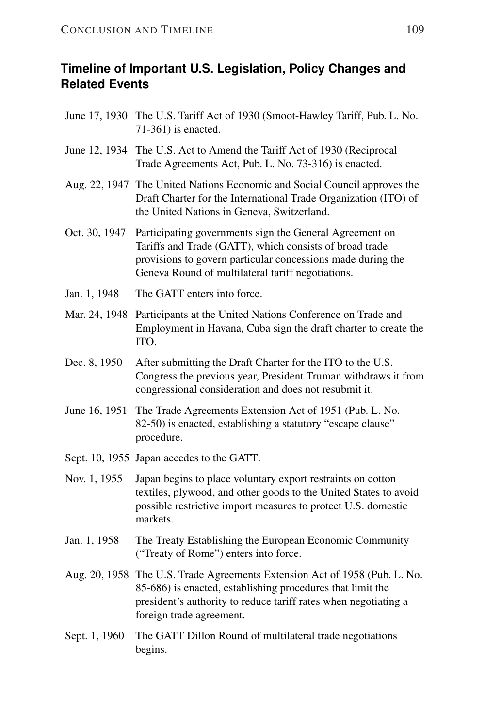## **Timeline of Important U.S. Legislation, Policy Changes and Related Events**

- June 17, 1930 The U.S. Tariff Act of 1930 (Smoot-Hawley Tariff, Pub. L. No. 71-361) is enacted.
- June 12, 1934 The U.S. Act to Amend the Tariff Act of 1930 (Reciprocal Trade Agreements Act, Pub. L. No. 73-316) is enacted.
- Aug. 22, 1947 The United Nations Economic and Social Council approves the Draft Charter for the International Trade Organization (ITO) of the United Nations in Geneva, Switzerland.
- Oct. 30, 1947 Participating governments sign the General Agreement on Tariffs and Trade (GATT), which consists of broad trade provisions to govern particular concessions made during the Geneva Round of multilateral tariff negotiations.
- Jan. 1, 1948 The GATT enters into force.
- Mar. 24, 1948 Participants at the United Nations Conference on Trade and Employment in Havana, Cuba sign the draft charter to create the ITO.
- Dec. 8, 1950 After submitting the Draft Charter for the ITO to the U.S. Congress the previous year, President Truman withdraws it from congressional consideration and does not resubmit it.
- June 16, 1951 The Trade Agreements Extension Act of 1951 (Pub. L. No. 82-50) is enacted, establishing a statutory "escape clause" procedure.
- Sept. 10, 1955 Japan accedes to the GATT.
- Nov. 1, 1955 Japan begins to place voluntary export restraints on cotton textiles, plywood, and other goods to the United States to avoid possible restrictive import measures to protect U.S. domestic markets.
- Jan. 1, 1958 The Treaty Establishing the European Economic Community ("Treaty of Rome") enters into force.
- Aug. 20, 1958 The U.S. Trade Agreements Extension Act of 1958 (Pub. L. No. 85-686) is enacted, establishing procedures that limit the president's authority to reduce tariff rates when negotiating a foreign trade agreement.
- Sept. 1, 1960 The GATT Dillon Round of multilateral trade negotiations begins.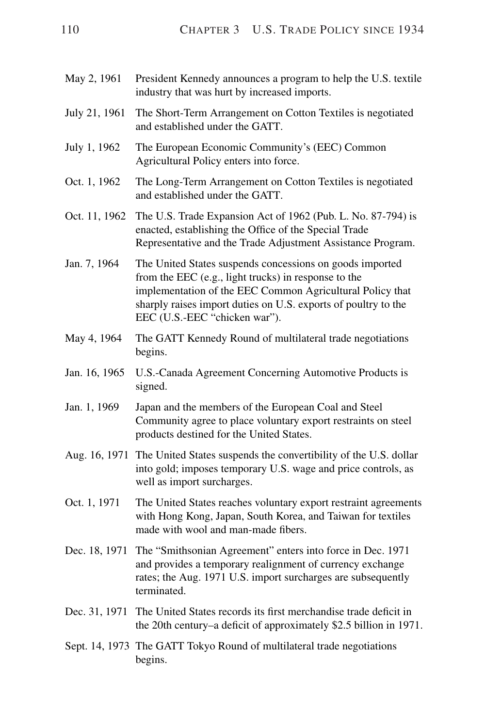- May 2, 1961 President Kennedy announces a program to help the U.S. textile industry that was hurt by increased imports.
- July 21, 1961 The Short-Term Arrangement on Cotton Textiles is negotiated and established under the GATT.
- July 1, 1962 The European Economic Community's (EEC) Common Agricultural Policy enters into force.
- Oct. 1, 1962 The Long-Term Arrangement on Cotton Textiles is negotiated and established under the GATT.
- Oct. 11, 1962 The U.S. Trade Expansion Act of 1962 (Pub. L. No. 87-794) is enacted, establishing the Office of the Special Trade Representative and the Trade Adjustment Assistance Program.
- Jan. 7, 1964 The United States suspends concessions on goods imported from the EEC (e.g., light trucks) in response to the implementation of the EEC Common Agricultural Policy that sharply raises import duties on U.S. exports of poultry to the EEC (U.S.-EEC "chicken war").
- May 4, 1964 The GATT Kennedy Round of multilateral trade negotiations begins.
- Jan. 16, 1965 U.S.-Canada Agreement Concerning Automotive Products is signed.
- Jan. 1, 1969 Japan and the members of the European Coal and Steel Community agree to place voluntary export restraints on steel products destined for the United States.
- Aug. 16, 1971 The United States suspends the convertibility of the U.S. dollar into gold; imposes temporary U.S. wage and price controls, as well as import surcharges.
- Oct. 1, 1971 The United States reaches voluntary export restraint agreements with Hong Kong, Japan, South Korea, and Taiwan for textiles made with wool and man-made fibers.
- Dec. 18, 1971 The "Smithsonian Agreement" enters into force in Dec. 1971 and provides a temporary realignment of currency exchange rates; the Aug. 1971 U.S. import surcharges are subsequently terminated.
- Dec. 31, 1971 The United States records its first merchandise trade deficit in the 20th century–a deficit of approximately \$2.5 billion in 1971.
- Sept. 14, 1973 The GATT Tokyo Round of multilateral trade negotiations begins.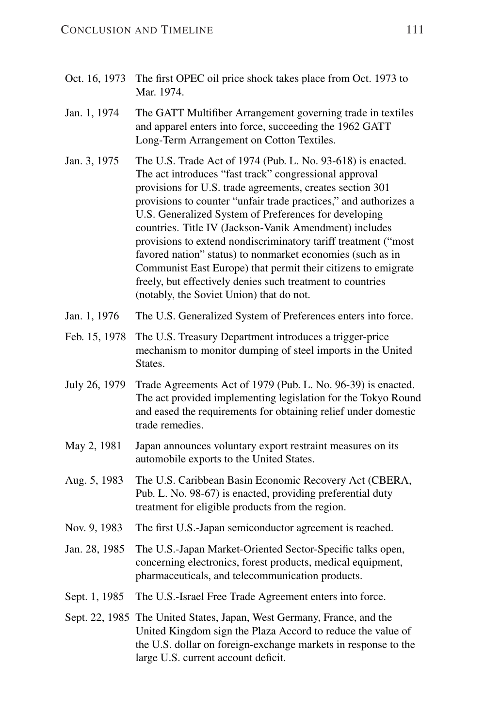- Oct. 16, 1973 The first OPEC oil price shock takes place from Oct. 1973 to Mar. 1974.
- Jan. 1, 1974 The GATT Multifiber Arrangement governing trade in textiles and apparel enters into force, succeeding the 1962 GATT Long-Term Arrangement on Cotton Textiles.
- Jan. 3, 1975 The U.S. Trade Act of 1974 (Pub. L. No. 93-618) is enacted. The act introduces "fast track" congressional approval provisions for U.S. trade agreements, creates section 301 provisions to counter "unfair trade practices," and authorizes a U.S. Generalized System of Preferences for developing countries. Title IV (Jackson-Vanik Amendment) includes provisions to extend nondiscriminatory tariff treatment ("most favored nation" status) to nonmarket economies (such as in Communist East Europe) that permit their citizens to emigrate freely, but effectively denies such treatment to countries (notably, the Soviet Union) that do not.
- Jan. 1, 1976 The U.S. Generalized System of Preferences enters into force.
- Feb. 15, 1978 The U.S. Treasury Department introduces a trigger-price mechanism to monitor dumping of steel imports in the United States.
- July 26, 1979 Trade Agreements Act of 1979 (Pub. L. No. 96-39) is enacted. The act provided implementing legislation for the Tokyo Round and eased the requirements for obtaining relief under domestic trade remedies.
- May 2, 1981 Japan announces voluntary export restraint measures on its automobile exports to the United States.
- Aug. 5, 1983 The U.S. Caribbean Basin Economic Recovery Act (CBERA, Pub. L. No. 98-67) is enacted, providing preferential duty treatment for eligible products from the region.
- Nov. 9, 1983 The first U.S.-Japan semiconductor agreement is reached.
- Jan. 28, 1985 The U.S.-Japan Market-Oriented Sector-Specific talks open, concerning electronics, forest products, medical equipment, pharmaceuticals, and telecommunication products.
- Sept. 1, 1985 The U.S.-Israel Free Trade Agreement enters into force.
- Sept. 22, 1985 The United States, Japan, West Germany, France, and the United Kingdom sign the Plaza Accord to reduce the value of the U.S. dollar on foreign-exchange markets in response to the large U.S. current account deficit.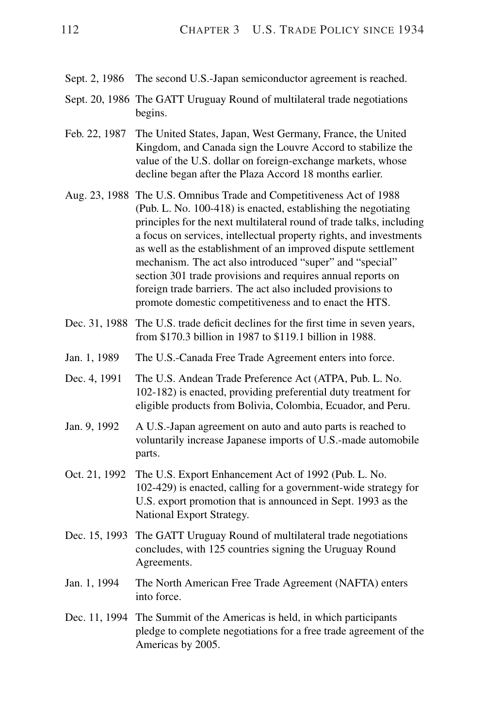- Sept. 2, 1986 The second U.S.-Japan semiconductor agreement is reached.
- Sept. 20, 1986 The GATT Uruguay Round of multilateral trade negotiations begins.
- Feb. 22, 1987 The United States, Japan, West Germany, France, the United Kingdom, and Canada sign the Louvre Accord to stabilize the value of the U.S. dollar on foreign-exchange markets, whose decline began after the Plaza Accord 18 months earlier.
- Aug. 23, 1988 The U.S. Omnibus Trade and Competitiveness Act of 1988 (Pub. L. No. 100-418) is enacted, establishing the negotiating principles for the next multilateral round of trade talks, including a focus on services, intellectual property rights, and investments as well as the establishment of an improved dispute settlement mechanism. The act also introduced "super" and "special" section 301 trade provisions and requires annual reports on foreign trade barriers. The act also included provisions to promote domestic competitiveness and to enact the HTS.
- Dec. 31, 1988 The U.S. trade deficit declines for the first time in seven years, from \$170.3 billion in 1987 to \$119.1 billion in 1988.
- Jan. 1, 1989 The U.S.-Canada Free Trade Agreement enters into force.
- Dec. 4, 1991 The U.S. Andean Trade Preference Act (ATPA, Pub. L. No. 102-182) is enacted, providing preferential duty treatment for eligible products from Bolivia, Colombia, Ecuador, and Peru.
- Jan. 9, 1992 A U.S.-Japan agreement on auto and auto parts is reached to voluntarily increase Japanese imports of U.S.-made automobile parts.
- Oct. 21, 1992 The U.S. Export Enhancement Act of 1992 (Pub. L. No. 102-429) is enacted, calling for a government-wide strategy for U.S. export promotion that is announced in Sept. 1993 as the National Export Strategy.
- Dec. 15, 1993 The GATT Uruguay Round of multilateral trade negotiations concludes, with 125 countries signing the Uruguay Round Agreements.
- Jan. 1, 1994 The North American Free Trade Agreement (NAFTA) enters into force.
- Dec. 11, 1994 The Summit of the Americas is held, in which participants pledge to complete negotiations for a free trade agreement of the Americas by 2005.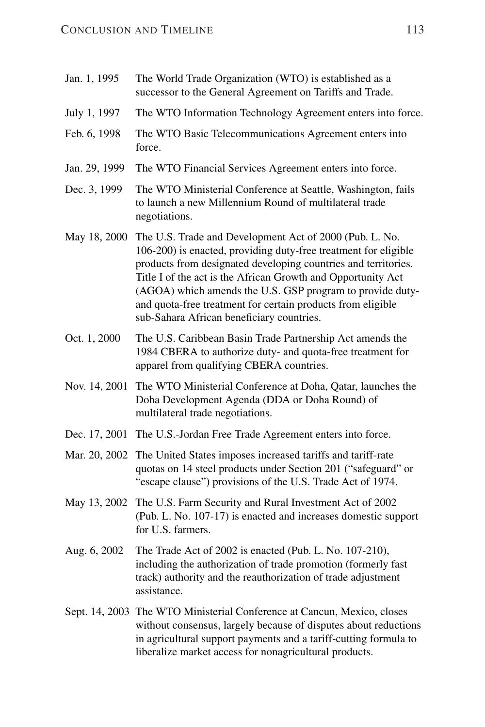| Jan. 1, 1995  | The World Trade Organization (WTO) is established as a<br>successor to the General Agreement on Tariffs and Trade.                                                                                                                                                                                                                                                                                                                    |
|---------------|---------------------------------------------------------------------------------------------------------------------------------------------------------------------------------------------------------------------------------------------------------------------------------------------------------------------------------------------------------------------------------------------------------------------------------------|
| July 1, 1997  | The WTO Information Technology Agreement enters into force.                                                                                                                                                                                                                                                                                                                                                                           |
| Feb. 6, 1998  | The WTO Basic Telecommunications Agreement enters into<br>force.                                                                                                                                                                                                                                                                                                                                                                      |
| Jan. 29, 1999 | The WTO Financial Services Agreement enters into force.                                                                                                                                                                                                                                                                                                                                                                               |
| Dec. 3, 1999  | The WTO Ministerial Conference at Seattle, Washington, fails<br>to launch a new Millennium Round of multilateral trade<br>negotiations.                                                                                                                                                                                                                                                                                               |
| May 18, 2000  | The U.S. Trade and Development Act of 2000 (Pub. L. No.<br>106-200) is enacted, providing duty-free treatment for eligible<br>products from designated developing countries and territories.<br>Title I of the act is the African Growth and Opportunity Act<br>(AGOA) which amends the U.S. GSP program to provide duty-<br>and quota-free treatment for certain products from eligible<br>sub-Sahara African beneficiary countries. |
| Oct. 1, 2000  | The U.S. Caribbean Basin Trade Partnership Act amends the<br>1984 CBERA to authorize duty- and quota-free treatment for<br>apparel from qualifying CBERA countries.                                                                                                                                                                                                                                                                   |
| Nov. 14, 2001 | The WTO Ministerial Conference at Doha, Qatar, launches the<br>Doha Development Agenda (DDA or Doha Round) of<br>multilateral trade negotiations.                                                                                                                                                                                                                                                                                     |
| Dec. 17, 2001 | The U.S.-Jordan Free Trade Agreement enters into force.                                                                                                                                                                                                                                                                                                                                                                               |
| Mar. 20, 2002 | The United States imposes increased tariffs and tariff-rate<br>quotas on 14 steel products under Section 201 ("safeguard" or<br>"escape clause") provisions of the U.S. Trade Act of 1974.                                                                                                                                                                                                                                            |
| May 13, 2002  | The U.S. Farm Security and Rural Investment Act of 2002<br>(Pub. L. No. 107-17) is enacted and increases domestic support<br>for U.S. farmers.                                                                                                                                                                                                                                                                                        |
| Aug. 6, 2002  | The Trade Act of 2002 is enacted (Pub. L. No. 107-210),<br>including the authorization of trade promotion (formerly fast<br>track) authority and the reauthorization of trade adjustment<br>assistance.                                                                                                                                                                                                                               |
|               | Sept. 14, 2003 The WTO Ministerial Conference at Cancun, Mexico, closes<br>without consensus, largely because of disputes about reductions<br>in agricultural support payments and a tariff-cutting formula to<br>liberalize market access for nonagricultural products.                                                                                                                                                              |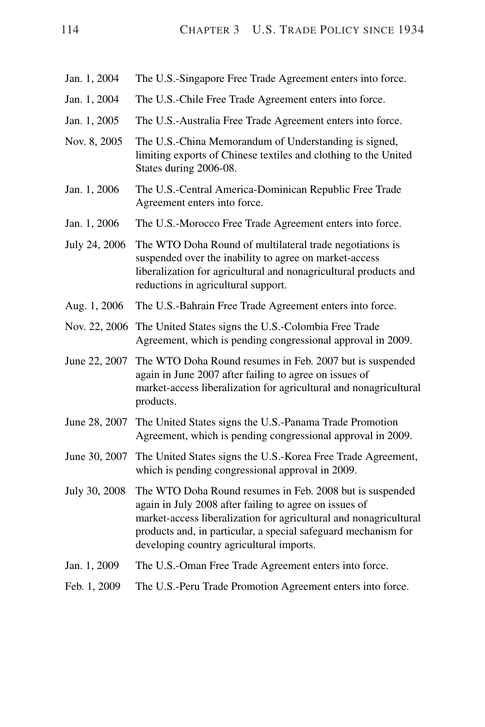- Jan. 1, 2004 The U.S.-Singapore Free Trade Agreement enters into force.
- Jan. 1, 2004 The U.S.-Chile Free Trade Agreement enters into force.
- Jan. 1, 2005 The U.S.-Australia Free Trade Agreement enters into force.
- Nov. 8, 2005 The U.S.-China Memorandum of Understanding is signed, limiting exports of Chinese textiles and clothing to the United States during 2006-08.
- Jan. 1, 2006 The U.S.-Central America-Dominican Republic Free Trade Agreement enters into force.
- Jan. 1, 2006 The U.S.-Morocco Free Trade Agreement enters into force.
- July 24, 2006 The WTO Doha Round of multilateral trade negotiations is suspended over the inability to agree on market-access liberalization for agricultural and nonagricultural products and reductions in agricultural support.
- Aug. 1, 2006 The U.S.-Bahrain Free Trade Agreement enters into force.
- Nov. 22, 2006 The United States signs the U.S.-Colombia Free Trade Agreement, which is pending congressional approval in 2009.
- June 22, 2007 The WTO Doha Round resumes in Feb. 2007 but is suspended again in June 2007 after failing to agree on issues of market-access liberalization for agricultural and nonagricultural products.
- June 28, 2007 The United States signs the U.S.-Panama Trade Promotion Agreement, which is pending congressional approval in 2009.
- June 30, 2007 The United States signs the U.S.-Korea Free Trade Agreement, which is pending congressional approval in 2009.
- July 30, 2008 The WTO Doha Round resumes in Feb. 2008 but is suspended again in July 2008 after failing to agree on issues of market-access liberalization for agricultural and nonagricultural products and, in particular, a special safeguard mechanism for developing country agricultural imports.
- Jan. 1, 2009 The U.S.-Oman Free Trade Agreement enters into force.
- Feb. 1, 2009 The U.S.-Peru Trade Promotion Agreement enters into force.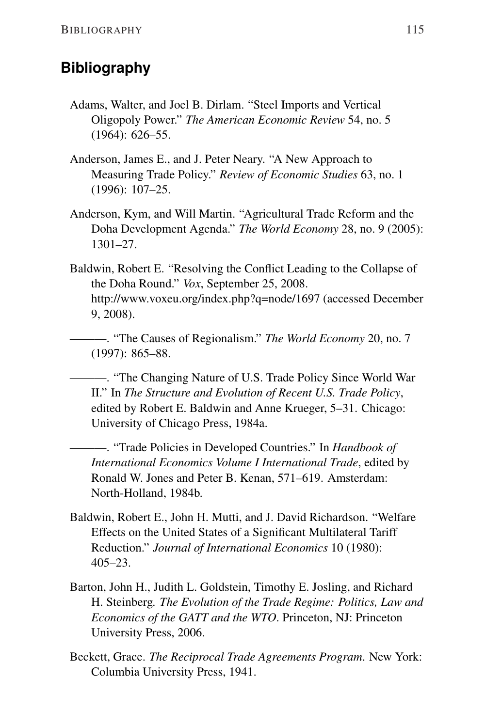## **Bibliography**

- Adams, Walter, and Joel B. Dirlam. "Steel Imports and Vertical Oligopoly Power." *The American Economic Review* 54, no. 5 (1964): 626–55.
- Anderson, James E., and J. Peter Neary. "A New Approach to Measuring Trade Policy." *Review of Economic Studies* 63, no. 1 (1996): 107–25.
- Anderson, Kym, and Will Martin. "Agricultural Trade Reform and the Doha Development Agenda." *The World Economy* 28, no. 9 (2005): 1301–27.
- Baldwin, Robert E. "Resolving the Conflict Leading to the Collapse of the Doha Round." *Vox*, September 25, 2008. <http://www.voxeu.org/index.php?q=node/1697> (accessed December 9, 2008).

———. "The Causes of Regionalism." *The World Economy* 20, no. 7 (1997): 865–88.

———. "The Changing Nature of U.S. Trade Policy Since World War II." In *The Structure and Evolution of Recent U.S. Trade Policy*, edited by Robert E. Baldwin and Anne Krueger, 5–31. Chicago: University of Chicago Press, 1984a.

———. "Trade Policies in Developed Countries." In *Handbook of International Economics Volume I International Trade*, edited by Ronald W. Jones and Peter B. Kenan, 571–619. Amsterdam: North-Holland, 1984b.

- Baldwin, Robert E., John H. Mutti, and J. David Richardson. "Welfare Effects on the United States of a Significant Multilateral Tariff Reduction." *Journal of International Economics* 10 (1980): 405–23.
- Barton, John H., Judith L. Goldstein, Timothy E. Josling, and Richard H. Steinberg*. The Evolution of the Trade Regime: Politics, Law and Economics of the GATT and the WTO*. Princeton, NJ: Princeton University Press, 2006.
- Beckett, Grace. *The Reciprocal Trade Agreements Program*. New York: Columbia University Press, 1941.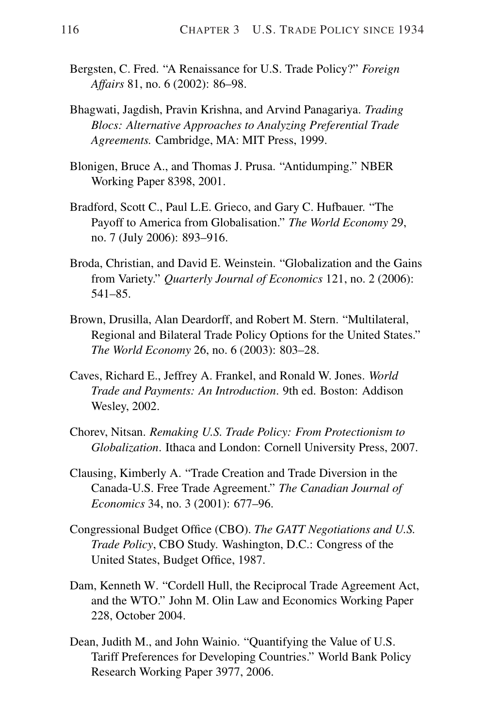- Bergsten, C. Fred. "A Renaissance for U.S. Trade Policy?" *Foreign Affairs* 81, no. 6 (2002): 86–98.
- Bhagwati, Jagdish, Pravin Krishna, and Arvind Panagariya. *Trading Blocs: Alternative Approaches to Analyzing Preferential Trade Agreements.* Cambridge, MA: MIT Press, 1999.
- Blonigen, Bruce A., and Thomas J. Prusa. "Antidumping." NBER Working Paper 8398, 2001.
- Bradford, Scott C., Paul L.E. Grieco, and Gary C. Hufbauer. "The Payoff to America from Globalisation." *The World Economy* 29, no. 7 (July 2006): 893–916.
- Broda, Christian, and David E. Weinstein. "Globalization and the Gains from Variety." *Quarterly Journal of Economics* 121, no. 2 (2006): 541–85.
- Brown, Drusilla, Alan Deardorff, and Robert M. Stern. "Multilateral, Regional and Bilateral Trade Policy Options for the United States." *The World Economy* 26, no. 6 (2003): 803–28.
- Caves, Richard E., Jeffrey A. Frankel, and Ronald W. Jones. *World Trade and Payments: An Introduction*. 9th ed. Boston: Addison Wesley, 2002.
- Chorev, Nitsan. *Remaking U.S. Trade Policy: From Protectionism to Globalization*. Ithaca and London: Cornell University Press, 2007.
- Clausing, Kimberly A. "Trade Creation and Trade Diversion in the Canada-U.S. Free Trade Agreement." *The Canadian Journal of Economics* 34, no. 3 (2001): 677–96.
- Congressional Budget Office (CBO). *The GATT Negotiations and U.S. Trade Policy*, CBO Study. Washington, D.C.: Congress of the United States, Budget Office, 1987.
- Dam, Kenneth W. "Cordell Hull, the Reciprocal Trade Agreement Act, and the WTO." John M. Olin Law and Economics Working Paper 228, October 2004.
- Dean, Judith M., and John Wainio. "Quantifying the Value of U.S. Tariff Preferences for Developing Countries." World Bank Policy Research Working Paper 3977, 2006.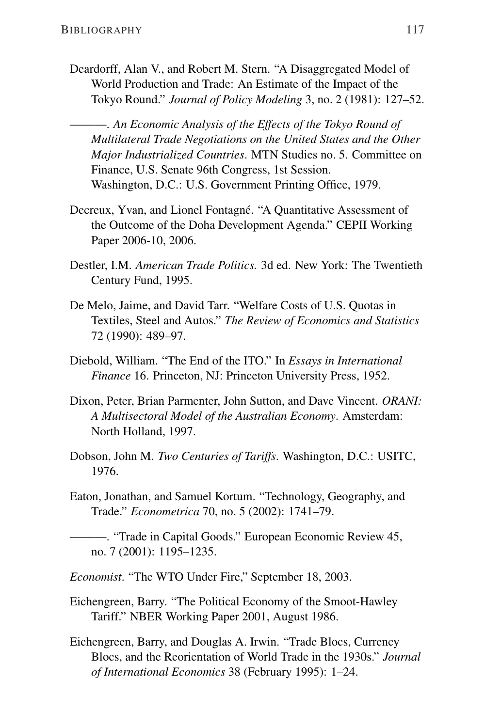Deardorff, Alan V., and Robert M. Stern. "A Disaggregated Model of World Production and Trade: An Estimate of the Impact of the Tokyo Round." *Journal of Policy Modeling* 3, no. 2 (1981): 127–52.

———. *An Economic Analysis of the Effects of the Tokyo Round of Multilateral Trade Negotiations on the United States and the Other Major Industrialized Countries*. MTN Studies no. 5. Committee on Finance, U.S. Senate 96th Congress, 1st Session. Washington, D.C.: U.S. Government Printing Office, 1979.

- Decreux, Yvan, and Lionel Fontagné. "A Quantitative Assessment of the Outcome of the Doha Development Agenda." CEPII Working Paper 2006-10, 2006.
- Destler, I.M. *American Trade Politics.* 3d ed. New York: The Twentieth Century Fund, 1995.
- De Melo, Jaime, and David Tarr. "Welfare Costs of U.S. Quotas in Textiles, Steel and Autos." *The Review of Economics and Statistics* 72 (1990): 489–97.
- Diebold, William. "The End of the ITO." In *Essays in International Finance* 16. Princeton, NJ: Princeton University Press, 1952.
- Dixon, Peter, Brian Parmenter, John Sutton, and Dave Vincent. *ORANI: A Multisectoral Model of the Australian Economy*. Amsterdam: North Holland, 1997.
- Dobson, John M. *Two Centuries of Tariffs*. Washington, D.C.: USITC, 1976.
- Eaton, Jonathan, and Samuel Kortum. "Technology, Geography, and Trade." *Econometrica* 70, no. 5 (2002): 1741–79.

———. "Trade in Capital Goods." European Economic Review 45, no. 7 (2001): 1195–1235.

- *Economist*. "The WTO Under Fire," September 18, 2003.
- Eichengreen, Barry. "The Political Economy of the Smoot-Hawley Tariff." NBER Working Paper 2001, August 1986.
- Eichengreen, Barry, and Douglas A. Irwin. "Trade Blocs, Currency Blocs, and the Reorientation of World Trade in the 1930s." *Journal of International Economics* 38 (February 1995): 1–24.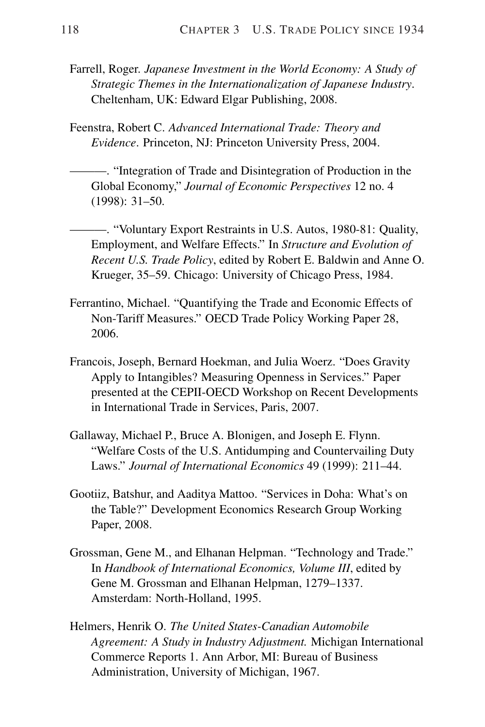- Farrell, Roger. *Japanese Investment in the World Economy: A Study of Strategic Themes in the Internationalization of Japanese Industry*. Cheltenham, UK: Edward Elgar Publishing, 2008.
- Feenstra, Robert C. *Advanced International Trade: Theory and Evidence*. Princeton, NJ: Princeton University Press, 2004.
	- ———. "Integration of Trade and Disintegration of Production in the Global Economy," *Journal of Economic Perspectives* 12 no. 4 (1998): 31–50.
	- ———. "Voluntary Export Restraints in U.S. Autos, 1980-81: Quality, Employment, and Welfare Effects." In *Structure and Evolution of Recent U.S. Trade Policy*, edited by Robert E. Baldwin and Anne O. Krueger, 35–59. Chicago: University of Chicago Press, 1984.
- Ferrantino, Michael. "Quantifying the Trade and Economic Effects of Non-Tariff Measures." OECD Trade Policy Working Paper 28, 2006.
- Francois, Joseph, Bernard Hoekman, and Julia Woerz. "Does Gravity Apply to Intangibles? Measuring Openness in Services." Paper presented at the CEPII-OECD Workshop on Recent Developments in International Trade in Services, Paris, 2007.
- Gallaway, Michael P., Bruce A. Blonigen, and Joseph E. Flynn. "Welfare Costs of the U.S. Antidumping and Countervailing Duty Laws." *Journal of International Economics* 49 (1999): 211–44.
- Gootiiz, Batshur, and Aaditya Mattoo. "Services in Doha: What's on the Table?" Development Economics Research Group Working Paper, 2008.
- Grossman, Gene M., and Elhanan Helpman. "Technology and Trade." In *Handbook of International Economics, Volume III*, edited by Gene M. Grossman and Elhanan Helpman, 1279–1337. Amsterdam: North-Holland, 1995.
- Helmers, Henrik O. *The United States-Canadian Automobile Agreement: A Study in Industry Adjustment.* Michigan International Commerce Reports 1. Ann Arbor, MI: Bureau of Business Administration, University of Michigan, 1967.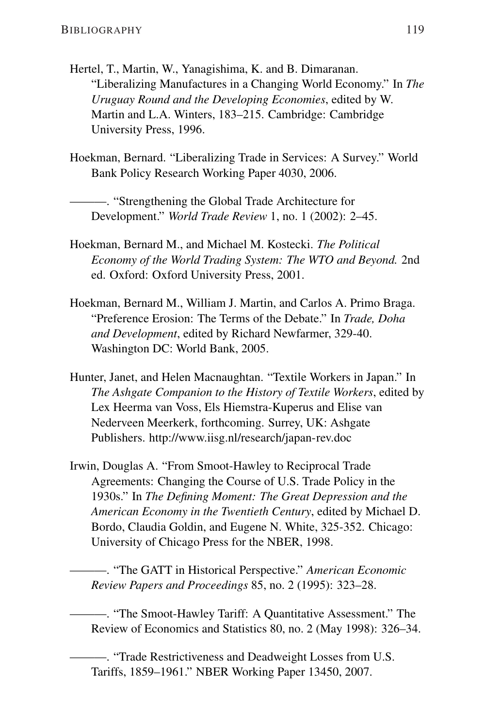- Hertel, T., Martin, W., Yanagishima, K. and B. Dimaranan. "Liberalizing Manufactures in a Changing World Economy." In *The Uruguay Round and the Developing Economies*, edited by W. Martin and L.A. Winters, 183–215. Cambridge: Cambridge University Press, 1996.
- Hoekman, Bernard. "Liberalizing Trade in Services: A Survey." World Bank Policy Research Working Paper 4030, 2006.

———. "Strengthening the Global Trade Architecture for Development." *World Trade Review* 1, no. 1 (2002): 2–45.

- Hoekman, Bernard M., and Michael M. Kostecki. *The Political Economy of the World Trading System: The WTO and Beyond.* 2nd ed. Oxford: Oxford University Press, 2001.
- Hoekman, Bernard M., William J. Martin, and Carlos A. Primo Braga. "Preference Erosion: The Terms of the Debate." In *Trade, Doha and Development*, edited by Richard Newfarmer, 329-40. Washington DC: World Bank, 2005.
- Hunter, Janet, and Helen Macnaughtan. "Textile Workers in Japan." In *The Ashgate Companion to the History of Textile Workers*, edited by Lex Heerma van Voss, Els Hiemstra-Kuperus and Elise van Nederveen Meerkerk, forthcoming. Surrey, UK: Ashgate Publishers. <http://www.iisg.nl/research/japan-rev.doc>
- Irwin, Douglas A. "From Smoot-Hawley to Reciprocal Trade Agreements: Changing the Course of U.S. Trade Policy in the 1930s." In *The Defining Moment: The Great Depression and the American Economy in the Twentieth Century*, edited by Michael D. Bordo, Claudia Goldin, and Eugene N. White, 325-352. Chicago: University of Chicago Press for the NBER, 1998.

———. "The GATT in Historical Perspective." *American Economic Review Papers and Proceedings* 85, no. 2 (1995): 323–28.

———. "The Smoot-Hawley Tariff: A Quantitative Assessment." The Review of Economics and Statistics 80, no. 2 (May 1998): 326–34.

———. "Trade Restrictiveness and Deadweight Losses from U.S. Tariffs, 1859–1961." NBER Working Paper 13450, 2007.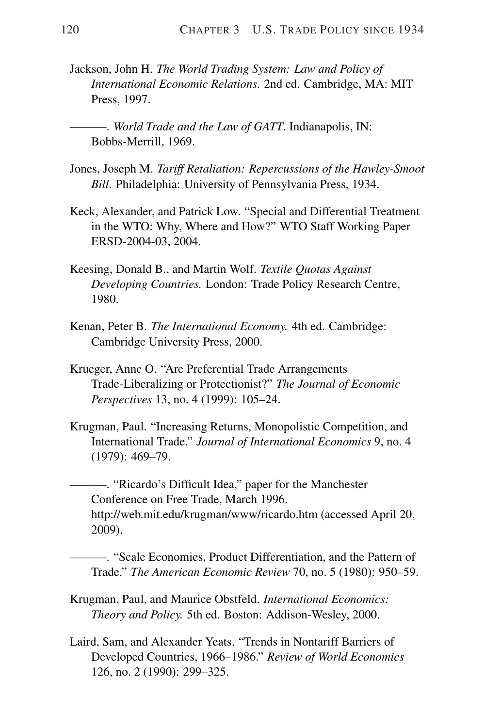Jackson, John H. *The World Trading System: Law and Policy of International Economic Relations.* 2nd ed. Cambridge, MA: MIT Press, 1997.

———. *World Trade and the Law of GATT*. Indianapolis, IN: Bobbs-Merrill, 1969.

- Jones, Joseph M. *Tariff Retaliation: Repercussions of the Hawley-Smoot Bill*. Philadelphia: University of Pennsylvania Press, 1934.
- Keck, Alexander, and Patrick Low. "Special and Differential Treatment in the WTO: Why, Where and How?" WTO Staff Working Paper ERSD-2004-03, 2004.
- Keesing, Donald B., and Martin Wolf. *Textile Quotas Against Developing Countries.* London: Trade Policy Research Centre, 1980.
- Kenan, Peter B. *The International Economy.* 4th ed. Cambridge: Cambridge University Press, 2000.
- Krueger, Anne O. "Are Preferential Trade Arrangements Trade-Liberalizing or Protectionist?" *The Journal of Economic Perspectives* 13, no. 4 (1999): 105–24.
- Krugman, Paul. "Increasing Returns, Monopolistic Competition, and International Trade." *Journal of International Economics* 9, no. 4 (1979): 469–79.

———. "Ricardo's Difficult Idea," paper for the Manchester Conference on Free Trade, March 1996. <http://web.mit.edu/krugman/www/ricardo.htm> (accessed April 20, 2009).

———. "Scale Economies, Product Differentiation, and the Pattern of Trade." *The American Economic Review* 70, no. 5 (1980): 950–59.

- Krugman, Paul, and Maurice Obstfeld. *International Economics: Theory and Policy.* 5th ed. Boston: Addison-Wesley, 2000.
- Laird, Sam, and Alexander Yeats. "Trends in Nontariff Barriers of Developed Countries, 1966–1986." *Review of World Economics* 126, no. 2 (1990): 299–325.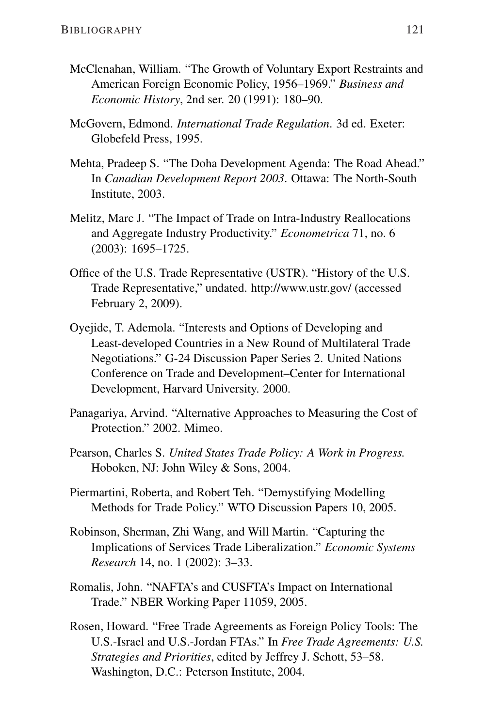- McClenahan, William. "The Growth of Voluntary Export Restraints and American Foreign Economic Policy, 1956–1969." *Business and Economic History*, 2nd ser. 20 (1991): 180–90.
- McGovern, Edmond. *International Trade Regulation*. 3d ed. Exeter: Globefeld Press, 1995.
- Mehta, Pradeep S. "The Doha Development Agenda: The Road Ahead." In *Canadian Development Report 2003*. Ottawa: The North-South Institute, 2003.
- Melitz, Marc J. "The Impact of Trade on Intra-Industry Reallocations and Aggregate Industry Productivity." *Econometrica* 71, no. 6 (2003): 1695–1725.
- Office of the U.S. Trade Representative (USTR). "History of the U.S. Trade Representative," undated. [http://www.ustr.gov/](http://www.ustr.gov) (accessed February 2, 2009).
- Oyejide, T. Ademola. "Interests and Options of Developing and Least-developed Countries in a New Round of Multilateral Trade Negotiations." G-24 Discussion Paper Series 2. United Nations Conference on Trade and Development–Center for International Development, Harvard University. 2000.
- Panagariya, Arvind. "Alternative Approaches to Measuring the Cost of Protection." 2002. Mimeo.
- Pearson, Charles S. *United States Trade Policy: A Work in Progress.* Hoboken, NJ: John Wiley & Sons, 2004.
- Piermartini, Roberta, and Robert Teh. "Demystifying Modelling Methods for Trade Policy." WTO Discussion Papers 10, 2005.
- Robinson, Sherman, Zhi Wang, and Will Martin. "Capturing the Implications of Services Trade Liberalization." *Economic Systems Research* 14, no. 1 (2002): 3–33.
- Romalis, John. "NAFTA's and CUSFTA's Impact on International Trade." NBER Working Paper 11059, 2005.
- Rosen, Howard. "Free Trade Agreements as Foreign Policy Tools: The U.S.-Israel and U.S.-Jordan FTAs." In *Free Trade Agreements: U.S. Strategies and Priorities*, edited by Jeffrey J. Schott, 53–58. Washington, D.C.: Peterson Institute, 2004.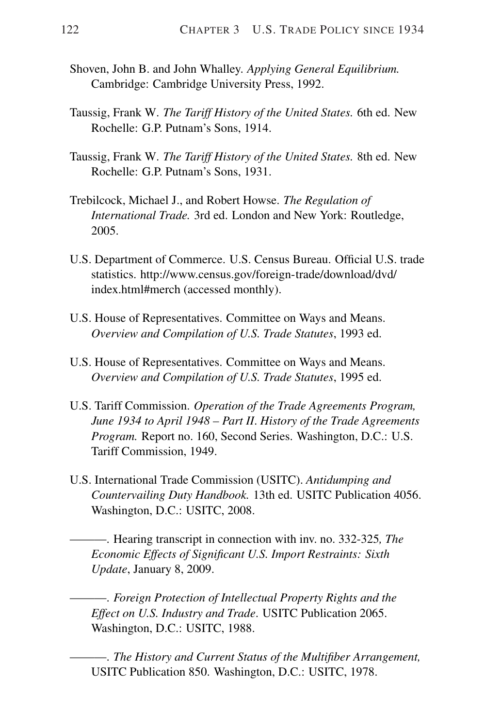- Shoven, John B. and John Whalley. *Applying General Equilibrium.* Cambridge: Cambridge University Press, 1992.
- Taussig, Frank W. *The Tariff History of the United States.* 6th ed. New Rochelle: G.P. Putnam's Sons, 1914.
- Taussig, Frank W. *The Tariff History of the United States.* 8th ed. New Rochelle: G.P. Putnam's Sons, 1931.
- Trebilcock, Michael J., and Robert Howse. *The Regulation of International Trade.* 3rd ed. London and New York: Routledge, 2005.
- U.S. Department of Commerce. U.S. Census Bureau. Official U.S. trade statistics. [http://www.census.gov/foreign-trade/download/dvd/](http://www.census.gov/foreign-trade/download/dvd/index.html#merch) [index.html#merch](http://www.census.gov/foreign-trade/download/dvd/index.html#merch) (accessed monthly).
- U.S. House of Representatives. Committee on Ways and Means. *Overview and Compilation of U.S. Trade Statutes*, 1993 ed.
- U.S. House of Representatives. Committee on Ways and Means. *Overview and Compilation of U.S. Trade Statutes*, 1995 ed.
- U.S. Tariff Commission. *Operation of the Trade Agreements Program, June 1934 to April 1948 – Part II*. *History of the Trade Agreements Program.* Report no. 160, Second Series. Washington, D.C.: U.S. Tariff Commission, 1949.
- U.S. International Trade Commission (USITC). *Antidumping and Countervailing Duty Handbook.* 13th ed. USITC Publication 4056. Washington, D.C.: USITC, 2008.
	- ———. Hearing transcript in connection with inv. no. 332-325*, The Economic Effects of Significant U.S. Import Restraints: Sixth Update*, January 8, 2009.

———. *Foreign Protection of Intellectual Property Rights and the Effect on U.S. Industry and Trade*. USITC Publication 2065. Washington, D.C.: USITC, 1988.

———. *The History and Current Status of the Multifiber Arrangement,* USITC Publication 850. Washington, D.C.: USITC, 1978.